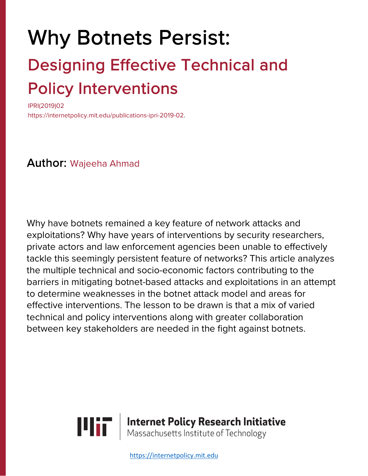# Why Botnets Persist: Designing Effective Technical and

# **Policy Interventions**

https://internetpolicy.mit.edu/publications-ipri-2019-02.

# Author: Wajeeha Ahmad

Why have botnets remained a key feature of network attacks and exploitations? Why have years of interventions by security researchers, private actors and law enforcement agencies been unable to effectively tackle this seemingly persistent feature of networks? This article analyzes the multiple technical and socio-economic factors contributing to the barriers in mitigating botnet-based attacks and exploitations in an attempt to determine weaknesses in the botnet attack model and areas for effective interventions. The lesson to be drawn is that a mix of varied technical and policy interventions along with greater collaboration between key stakeholders are needed in the fight against botnets.



https://internetpolicy.mit.edu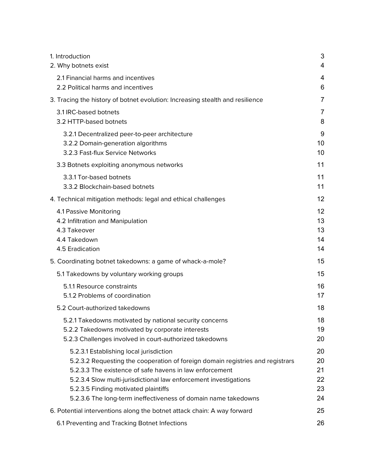| 1. Introduction                                                                | 3  |
|--------------------------------------------------------------------------------|----|
| 2. Why botnets exist                                                           | 4  |
| 2.1 Financial harms and incentives                                             | 4  |
| 2.2 Political harms and incentives                                             | 6  |
| 3. Tracing the history of botnet evolution: Increasing stealth and resilience  | 7  |
| 3.1 IRC-based botnets                                                          | 7  |
| 3.2 HTTP-based botnets                                                         | 8  |
| 3.2.1 Decentralized peer-to-peer architecture                                  | 9  |
| 3.2.2 Domain-generation algorithms                                             | 10 |
| 3.2.3 Fast-flux Service Networks                                               | 10 |
| 3.3 Botnets exploiting anonymous networks                                      | 11 |
| 3.3.1 Tor-based botnets                                                        | 11 |
| 3.3.2 Blockchain-based botnets                                                 | 11 |
| 4. Technical mitigation methods: legal and ethical challenges                  | 12 |
| 4.1 Passive Monitoring                                                         | 12 |
| 4.2 Infiltration and Manipulation                                              | 13 |
| 4.3 Takeover                                                                   | 13 |
| 4.4 Takedown                                                                   | 14 |
| 4.5 Eradication                                                                | 14 |
| 5. Coordinating botnet takedowns: a game of whack-a-mole?                      | 15 |
| 5.1 Takedowns by voluntary working groups                                      | 15 |
| 5.1.1 Resource constraints                                                     | 16 |
| 5.1.2 Problems of coordination                                                 | 17 |
| 5.2 Court-authorized takedowns                                                 | 18 |
| 5.2.1 Takedowns motivated by national security concerns                        | 18 |
| 5.2.2 Takedowns motivated by corporate interests                               | 19 |
| 5.2.3 Challenges involved in court-authorized takedowns                        | 20 |
| 5.2.3.1 Establishing local jurisdiction                                        | 20 |
| 5.2.3.2 Requesting the cooperation of foreign domain registries and registrars | 20 |
| 5.2.3.3 The existence of safe havens in law enforcement                        | 21 |
| 5.2.3.4 Slow multi-jurisdictional law enforcement investigations               | 22 |
| 5.2.3.5 Finding motivated plaintiffs                                           | 23 |
| 5.2.3.6 The long-term ineffectiveness of domain name takedowns                 | 24 |
| 6. Potential interventions along the botnet attack chain: A way forward        | 25 |
| 6.1 Preventing and Tracking Botnet Infections                                  | 26 |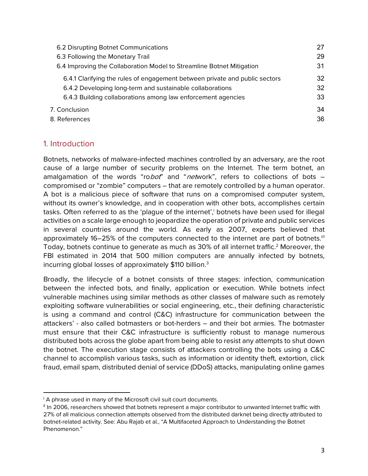| 6.2 Disrupting Botnet Communications                                        | 27 |
|-----------------------------------------------------------------------------|----|
| 6.3 Following the Monetary Trail                                            | 29 |
| 6.4 Improving the Collaboration Model to Streamline Botnet Mitigation       | 31 |
| 6.4.1 Clarifying the rules of engagement between private and public sectors | 32 |
| 6.4.2 Developing long-term and sustainable collaborations                   | 32 |
| 6.4.3 Building collaborations among law enforcement agencies                | 33 |
| 7. Conclusion                                                               | 34 |
| 8. References                                                               | 36 |

# 1. Introduction

Botnets, networks of malware-infected machines controlled by an adversary, are the root cause of a large number of security problems on the Internet. The term botnet, an amalgamation of the words "robot" and "network", refers to collections of bots  $$ compromised or "zombie" computers – that are remotely controlled by a human operator. A bot is a malicious piece of software that runs on a compromised computer system, without its owner's knowledge, and in cooperation with other bots, accomplishes certain tasks. Often referred to as the 'plague of the internet', botnets have been used for illegal activities on a scale large enough to jeopardize the operation of private and public services in several countries around the world. As early as 2007, experts believed that approximately 16–25% of the computers connected to the internet are part of botnets.<sup>ii1</sup> Today, botnets continue to generate as much as 30% of all internet traffic.<sup>2</sup> Moreover, the FBI estimated in 2014 that 500 million computers are annually infected by botnets, incurring global losses of approximately \$110 billion.<sup>3</sup>

Broadly, the lifecycle of a botnet consists of three stages: infection, communication between the infected bots, and finally, application or execution. While botnets infect vulnerable machines using similar methods as other classes of malware such as remotely exploiting software vulnerabilities or social engineering, etc., their defining characteristic is using a command and control (C&C) infrastructure for communication between the attackers' - also called botmasters or bot-herders – and their bot armies. The botmaster must ensure that their C&C infrastructure is sufficiently robust to manage numerous distributed bots across the globe apart from being able to resist any attempts to shut down the botnet. The execution stage consists of attackers controlling the bots using a C&C channel to accomplish various tasks, such as information or identity theft, extortion, click fraud, email spam, distributed denial of service (DDoS) attacks, manipulating online games

 $\overline{a}$ <sup>i</sup> A phrase used in many of the Microsoft civil suit court documents.

ii In 2006, researchers showed that botnets represent a major contributor to unwanted Internet traffic with 27% of all malicious connection attempts observed from the distributed darknet being directly attributed to botnet-related activity. See: Abu Rajab et al., "A Multifaceted Approach to Understanding the Botnet Phenomenon."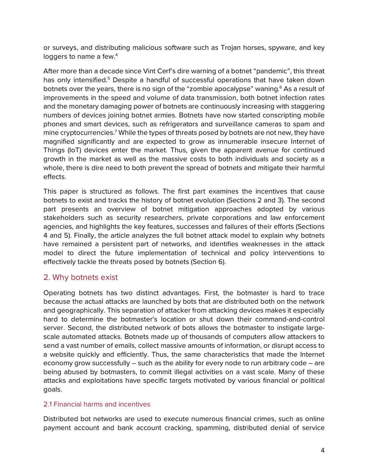or surveys, and distributing malicious software such as Trojan horses, spyware, and key loggers to name a few.<sup>4</sup>

After more than a decade since Vint Cerf's dire warning of a botnet "pandemic", this threat has only intensified.<sup>5</sup> Despite a handful of successful operations that have taken down botnets over the years, there is no sign of the "zombie apocalypse" waning.<sup>6</sup> As a result of improvements in the speed and volume of data transmission, both botnet infection rates and the monetary damaging power of botnets are continuously increasing with staggering numbers of devices joining botnet armies. Botnets have now started conscripting mobile phones and smart devices, such as refrigerators and surveillance cameras to spam and mine cryptocurrencies.7 While the types of threats posed by botnets are not new, they have magnified significantly and are expected to grow as innumerable insecure Internet of Things (IoT) devices enter the market. Thus, given the apparent avenue for continued growth in the market as well as the massive costs to both individuals and society as a whole, there is dire need to both prevent the spread of botnets and mitigate their harmful effects.

This paper is structured as follows. The first part examines the incentives that cause botnets to exist and tracks the history of botnet evolution (Sections 2 and 3). The second part presents an overview of botnet mitigation approaches adopted by various stakeholders such as security researchers, private corporations and law enforcement agencies, and highlights the key features, successes and failures of their efforts (Sections 4 and 5). Finally, the article analyzes the full botnet attack model to explain why botnets have remained a persistent part of networks, and identifies weaknesses in the attack model to direct the future implementation of technical and policy interventions to effectively tackle the threats posed by botnets (Section 6).

# 2. Why botnets exist

Operating botnets has two distinct advantages. First, the botmaster is hard to trace because the actual attacks are launched by bots that are distributed both on the network and geographically. This separation of attacker from attacking devices makes it especially hard to determine the botmaster's location or shut down their command-and-control server. Second, the distributed network of bots allows the botmaster to instigate largescale automated attacks. Botnets made up of thousands of computers allow attackers to send a vast number of emails, collect massive amounts of information, or disrupt access to a website quickly and efficiently. Thus, the same characteristics that made the Internet economy grow successfully – such as the ability for every node to run arbitrary code – are being abused by botmasters, to commit illegal activities on a vast scale. Many of these attacks and exploitations have specific targets motivated by various financial or political goals.

# 2.1 Financial harms and incentives

Distributed bot networks are used to execute numerous financial crimes, such as online payment account and bank account cracking, spamming, distributed denial of service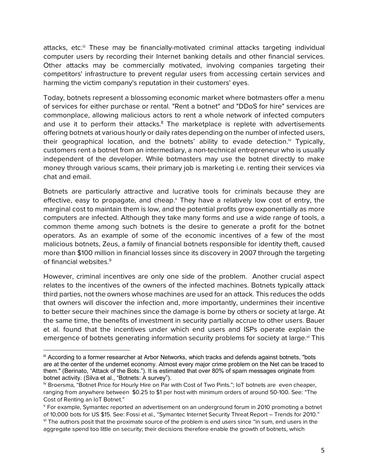attacks, etc.<sup>iii</sup> These may be financially-motivated criminal attacks targeting individual computer users by recording their Internet banking details and other financial services. Other attacks may be commercially motivated, involving companies targeting their competitors' infrastructure to prevent regular users from accessing certain services and harming the victim company's reputation in their customers' eyes.

Today, botnets represent a blossoming economic market where botmasters offer a menu of services for either purchase or rental. "Rent a botnet" and "DDoS for hire" services are commonplace, allowing malicious actors to rent a whole network of infected computers and use it to perform their attacks. $8$  The marketplace is replete with advertisements offering botnets at various hourly or daily rates depending on the number of infected users, their geographical location, and the botnets' ability to evade detection.<sup>iv</sup> Typically, customers rent a botnet from an intermediary, a non-technical entrepreneur who is usually independent of the developer. While botmasters may use the botnet directly to make money through various scams, their primary job is marketing i.e. renting their services via chat and email.

Botnets are particularly attractive and lucrative tools for criminals because they are effective, easy to propagate, and cheap. $<sup>y</sup>$  They have a relatively low cost of entry, the</sup> marginal cost to maintain them is low, and the potential profits grow exponentially as more computers are infected. Although they take many forms and use a wide range of tools, a common theme among such botnets is the desire to generate a profit for the botnet operators. As an example of some of the economic incentives of a few of the most malicious botnets, Zeus, a family of financial botnets responsible for identity theft, caused more than \$100 million in financial losses since its discovery in 2007 through the targeting of financial websites.<sup>9</sup>

However, criminal incentives are only one side of the problem. Another crucial aspect relates to the incentives of the owners of the infected machines. Botnets typically attack third parties, not the owners whose machines are used for an attack. This reduces the odds that owners will discover the infection and, more importantly, undermines their incentive to better secure their machines since the damage is borne by others or society at large. At the same time, the benefits of investment in security partially accrue to other users. Bauer et al. found that the incentives under which end users and ISPs operate explain the emergence of botnets generating information security problems for society at large.<sup>vi</sup> This

iii According to a former researcher at Arbor Networks, which tracks and defends against botnets, "bots are at the center of the undernet economy. Almost every major crime problem on the Net can be traced to them." (Berinato, "Attack of the Bots."). It is estimated that over 80% of spam messages originate from botnet activity. (Silva et al., "Botnets: A survey").

iv Broersma, "Botnet Price for Hourly Hire on Par with Cost of Two Pints."; IoT botnets are even cheaper, ranging from anywhere between \$0.25 to \$1 per host with minimum orders of around 50-100. See: "The Cost of Renting an IoT Botnet."

<sup>v</sup> For example, Symantec reported an advertisement on an underground forum in 2010 promoting a botnet of 10,000 bots for US \$15. See: Fossi et al., "Symantec Internet Security Threat Report – Trends for 2010."

vi The authors posit that the proximate source of the problem is end users since "in sum, end users in the aggregate spend too little on security; their decisions therefore enable the growth of botnets, which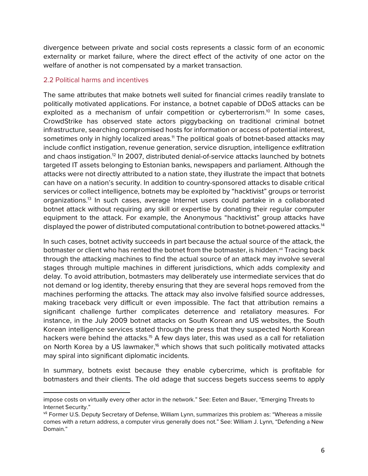divergence between private and social costs represents a classic form of an economic externality or market failure, where the direct effect of the activity of one actor on the welfare of another is not compensated by a market transaction.

#### 2.2 Political harms and incentives

 $\overline{a}$ 

The same attributes that make botnets well suited for financial crimes readily translate to politically motivated applications. For instance, a botnet capable of DDoS attacks can be exploited as a mechanism of unfair competition or cyberterrorism.<sup>10</sup> In some cases, CrowdStrike has observed state actors piggybacking on traditional criminal botnet infrastructure, searching compromised hosts for information or access of potential interest, sometimes only in highly localized areas.<sup>11</sup> The political goals of botnet-based attacks may include conflict instigation, revenue generation, service disruption, intelligence exfiltration and chaos instigation.12 In 2007, distributed denial-of-service attacks launched by botnets targeted IT assets belonging to Estonian banks, newspapers and parliament. Although the attacks were not directly attributed to a nation state, they illustrate the impact that botnets can have on a nation's security. In addition to country-sponsored attacks to disable critical services or collect intelligence, botnets may be exploited by "hacktivist" groups or terrorist organizations.13 In such cases, average Internet users could partake in a collaborated botnet attack without requiring any skill or expertise by donating their regular computer equipment to the attack. For example, the Anonymous "hacktivist" group attacks have displayed the power of distributed computational contribution to botnet-powered attacks.14

In such cases, botnet activity succeeds in part because the actual source of the attack, the botmaster or client who has rented the botnet from the botmaster, is hidden. Vii Tracing back through the attacking machines to find the actual source of an attack may involve several stages through multiple machines in different jurisdictions, which adds complexity and delay. To avoid attribution, botmasters may deliberately use intermediate services that do not demand or log identity, thereby ensuring that they are several hops removed from the machines performing the attacks. The attack may also involve falsified source addresses, making traceback very difficult or even impossible. The fact that attribution remains a significant challenge further complicates deterrence and retaliatory measures. For instance, in the July 2009 botnet attacks on South Korean and US websites, the South Korean intelligence services stated through the press that they suspected North Korean hackers were behind the attacks.<sup>15</sup> A few days later, this was used as a call for retaliation on North Korea by a US lawmaker,<sup>16</sup> which shows that such politically motivated attacks may spiral into significant diplomatic incidents.

In summary, botnets exist because they enable cybercrime, which is profitable for botmasters and their clients. The old adage that success begets success seems to apply

impose costs on virtually every other actor in the network." See: Eeten and Bauer, "Emerging Threats to Internet Security."

vii Former U.S. Deputy Secretary of Defense, William Lynn, summarizes this problem as: "Whereas a missile comes with a return address, a computer virus generally does not." See: William J. Lynn, "Defending a New Domain."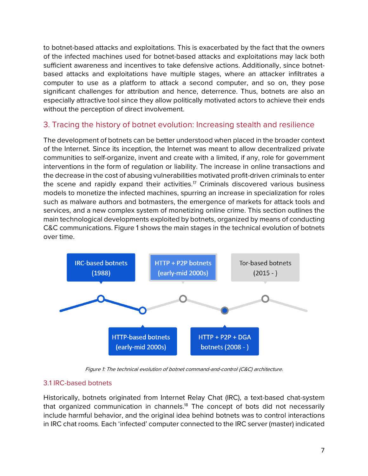to botnet-based attacks and exploitations. This is exacerbated by the fact that the owners of the infected machines used for botnet-based attacks and exploitations may lack both sufficient awareness and incentives to take defensive actions. Additionally, since botnetbased attacks and exploitations have multiple stages, where an attacker infiltrates a computer to use as a platform to attack a second computer, and so on, they pose significant challenges for attribution and hence, deterrence. Thus, botnets are also an especially attractive tool since they allow politically motivated actors to achieve their ends without the perception of direct involvement.

# 3. Tracing the history of botnet evolution: Increasing stealth and resilience

The development of botnets can be better understood when placed in the broader context of the Internet. Since its inception, the Internet was meant to allow decentralized private communities to self-organize, invent and create with a limited, if any, role for government interventions in the form of regulation or liability. The increase in online transactions and the decrease in the cost of abusing vulnerabilities motivated profit-driven criminals to enter the scene and rapidly expand their activities.<sup>17</sup> Criminals discovered various business models to monetize the infected machines, spurring an increase in specialization for roles such as malware authors and botmasters, the emergence of markets for attack tools and services, and a new complex system of monetizing online crime. This section outlines the main technological developments exploited by botnets, organized by means of conducting C&C communications. Figure 1 shows the main stages in the technical evolution of botnets over time.



Figure 1: The technical evolution of botnet command-and-control (C&C) architecture.

# 3.1 IRC-based botnets

Historically, botnets originated from Internet Relay Chat (IRC), a text-based chat-system that organized communication in channels.<sup>18</sup> The concept of bots did not necessarily include harmful behavior, and the original idea behind botnets was to control interactions in IRC chat rooms. Each 'infected' computer connected to the IRC server (master) indicated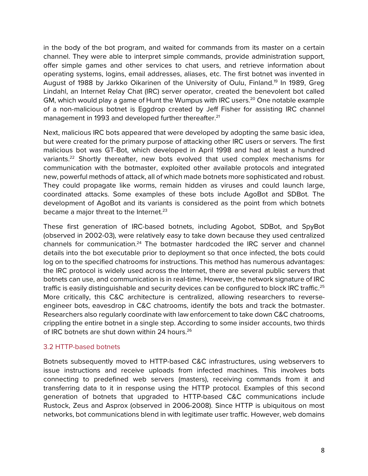in the body of the bot program, and waited for commands from its master on a certain channel. They were able to interpret simple commands, provide administration support, offer simple games and other services to chat users, and retrieve information about operating systems, logins, email addresses, aliases, etc. The first botnet was invented in August of 1988 by Jarkko Oikarinen of the University of Oulu, Finland.<sup>19</sup> In 1989, Greg Lindahl, an Internet Relay Chat (IRC) server operator, created the benevolent bot called GM, which would play a game of Hunt the Wumpus with IRC users.<sup>20</sup> One notable example of a non-malicious botnet is Eggdrop created by Jeff Fisher for assisting IRC channel management in 1993 and developed further thereafter.<sup>21</sup>

Next, malicious IRC bots appeared that were developed by adopting the same basic idea, but were created for the primary purpose of attacking other IRC users or servers. The first malicious bot was GT-Bot, which developed in April 1998 and had at least a hundred variants.22 Shortly thereafter, new bots evolved that used complex mechanisms for communication with the botmaster, exploited other available protocols and integrated new, powerful methods of attack, all of which made botnets more sophisticated and robust. They could propagate like worms, remain hidden as viruses and could launch large, coordinated attacks. Some examples of these bots include AgoBot and SDBot. The development of AgoBot and its variants is considered as the point from which botnets became a major threat to the Internet. $23$ 

These first generation of IRC-based botnets, including Agobot, SDBot, and SpyBot (observed in 2002-03), were relatively easy to take down because they used centralized channels for communication.<sup>24</sup> The botmaster hardcoded the IRC server and channel details into the bot executable prior to deployment so that once infected, the bots could log on to the specified chatrooms for instructions. This method has numerous advantages: the IRC protocol is widely used across the Internet, there are several public servers that botnets can use, and communication is in real-time. However, the network signature of IRC traffic is easily distinguishable and security devices can be configured to block IRC traffic.<sup>25</sup> More critically, this C&C architecture is centralized, allowing researchers to reverseengineer bots, eavesdrop in C&C chatrooms, identify the bots and track the botmaster. Researchers also regularly coordinate with law enforcement to take down C&C chatrooms, crippling the entire botnet in a single step. According to some insider accounts, two thirds of IRC botnets are shut down within 24 hours.<sup>26</sup>

# 3.2 HTTP-based botnets

Botnets subsequently moved to HTTP-based C&C infrastructures, using webservers to issue instructions and receive uploads from infected machines. This involves bots connecting to predefined web servers (masters), receiving commands from it and transferring data to it in response using the HTTP protocol. Examples of this second generation of botnets that upgraded to HTTP-based C&C communications include Rustock, Zeus and Asprox (observed in 2006-2008). Since HTTP is ubiquitous on most networks, bot communications blend in with legitimate user traffic. However, web domains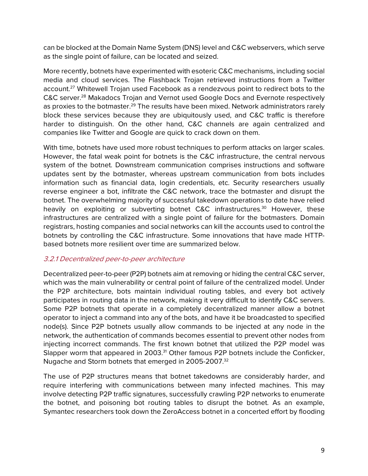can be blocked at the Domain Name System (DNS) level and C&C webservers, which serve as the single point of failure, can be located and seized.

More recently, botnets have experimented with esoteric C&C mechanisms, including social media and cloud services. The Flashback Trojan retrieved instructions from a Twitter account.<sup>27</sup> Whitewell Trojan used Facebook as a rendezvous point to redirect bots to the C&C server.28 Makadocs Trojan and Vernot used Google Docs and Evernote respectively as proxies to the botmaster.<sup>29</sup> The results have been mixed. Network administrators rarely block these services because they are ubiquitously used, and C&C traffic is therefore harder to distinguish. On the other hand, C&C channels are again centralized and companies like Twitter and Google are quick to crack down on them.

With time, botnets have used more robust techniques to perform attacks on larger scales. However, the fatal weak point for botnets is the C&C infrastructure, the central nervous system of the botnet. Downstream communication comprises instructions and software updates sent by the botmaster, whereas upstream communication from bots includes information such as financial data, login credentials, etc. Security researchers usually reverse engineer a bot, infiltrate the C&C network, trace the botmaster and disrupt the botnet. The overwhelming majority of successful takedown operations to date have relied heavily on exploiting or subverting botnet C&C infrastructures.<sup>30</sup> However, these infrastructures are centralized with a single point of failure for the botmasters. Domain registrars, hosting companies and social networks can kill the accounts used to control the botnets by controlling the C&C infrastructure. Some innovations that have made HTTPbased botnets more resilient over time are summarized below.

# 3.2.1 Decentralized peer-to-peer architecture

Decentralized peer-to-peer (P2P) botnets aim at removing or hiding the central C&C server, which was the main vulnerability or central point of failure of the centralized model. Under the P2P architecture, bots maintain individual routing tables, and every bot actively participates in routing data in the network, making it very difficult to identify C&C servers. Some P2P botnets that operate in a completely decentralized manner allow a botnet operator to inject a command into any of the bots, and have it be broadcasted to specified node(s). Since P2P botnets usually allow commands to be injected at any node in the network, the authentication of commands becomes essential to prevent other nodes from injecting incorrect commands. The first known botnet that utilized the P2P model was Slapper worm that appeared in 2003.<sup>31</sup> Other famous P2P botnets include the Conficker, Nugache and Storm botnets that emerged in 2005-2007.32

The use of P2P structures means that botnet takedowns are considerably harder, and require interfering with communications between many infected machines. This may involve detecting P2P traffic signatures, successfully crawling P2P networks to enumerate the botnet, and poisoning bot routing tables to disrupt the botnet. As an example, Symantec researchers took down the ZeroAccess botnet in a concerted effort by flooding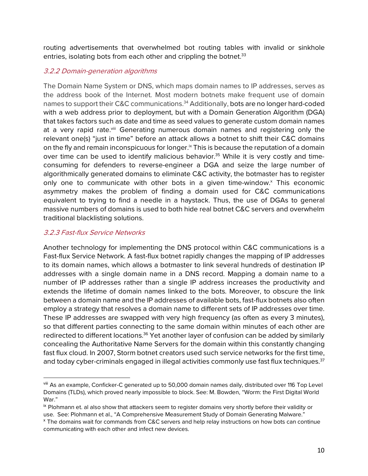routing advertisements that overwhelmed bot routing tables with invalid or sinkhole entries, isolating bots from each other and crippling the botnet.<sup>33</sup>

# 3.2.2 Domain-generation algorithms

The Domain Name System or DNS, which maps domain names to IP addresses, serves as the address book of the Internet. Most modern botnets make frequent use of domain names to support their C&C communications.34 Additionally, bots are no longer hard-coded with a web address prior to deployment, but with a Domain Generation Algorithm (DGA) that takes factors such as date and time as seed values to generate custom domain names at a very rapid rate.<sup>viii</sup> Generating numerous domain names and registering only the relevant one(s) "just in time" before an attack allows a botnet to shift their C&C domains on the fly and remain inconspicuous for longer.<sup>ix</sup> This is because the reputation of a domain over time can be used to identify malicious behavior.<sup>35</sup> While it is very costly and timeconsuming for defenders to reverse-engineer a DGA and seize the large number of algorithmically generated domains to eliminate C&C activity, the botmaster has to register only one to communicate with other bots in a given time-window. $<sup>x</sup>$  This economic</sup> asymmetry makes the problem of finding a domain used for C&C communications equivalent to trying to find a needle in a haystack. Thus, the use of DGAs to general massive numbers of domains is used to both hide real botnet C&C servers and overwhelm traditional blacklisting solutions.

# 3.2.3 Fast-flux Service Networks

 $\overline{a}$ 

Another technology for implementing the DNS protocol within C&C communications is a Fast-flux Service Network. A fast-flux botnet rapidly changes the mapping of IP addresses to its domain names, which allows a botmaster to link several hundreds of destination IP addresses with a single domain name in a DNS record. Mapping a domain name to a number of IP addresses rather than a single IP address increases the productivity and extends the lifetime of domain names linked to the bots. Moreover, to obscure the link between a domain name and the IP addresses of available bots, fast-flux botnets also often employ a strategy that resolves a domain name to different sets of IP addresses over time. These IP addresses are swapped with very high frequency (as often as every 3 minutes), so that different parties connecting to the same domain within minutes of each other are redirected to different locations.<sup>36</sup> Yet another layer of confusion can be added by similarly concealing the Authoritative Name Servers for the domain within this constantly changing fast flux cloud. In 2007, Storm botnet creators used such service networks for the first time, and today cyber-criminals engaged in illegal activities commonly use fast flux techniques.<sup>37</sup>

viii As an example, Conficker-C generated up to 50,000 domain names daily, distributed over 116 Top Level Domains (TLDs), which proved nearly impossible to block. See: M. Bowden, "Worm: the First Digital World War."

ix Plohmann et. al also show that attackers seem to register domains very shortly before their validity or use. See: Plohmann et al., "A Comprehensive Measurement Study of Domain Generating Malware."

<sup>x</sup> The domains wait for commands from C&C servers and help relay instructions on how bots can continue communicating with each other and infect new devices.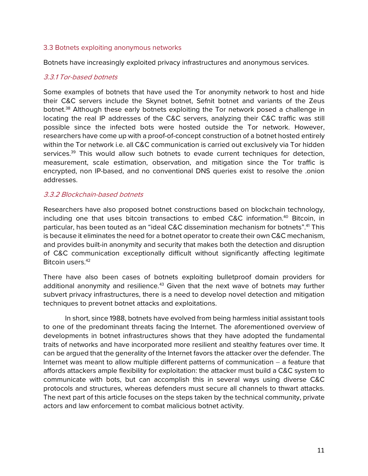#### 3.3 Botnets exploiting anonymous networks

Botnets have increasingly exploited privacy infrastructures and anonymous services.

# 3.3.1 Tor-based botnets

Some examples of botnets that have used the Tor anonymity network to host and hide their C&C servers include the Skynet botnet, Sefnit botnet and variants of the Zeus botnet.<sup>38</sup> Although these early botnets exploiting the Tor network posed a challenge in locating the real IP addresses of the C&C servers, analyzing their C&C traffic was still possible since the infected bots were hosted outside the Tor network. However, researchers have come up with a proof-of-concept construction of a botnet hosted entirely within the Tor network i.e. all C&C communication is carried out exclusively via Tor hidden services.<sup>39</sup> This would allow such botnets to evade current techniques for detection, measurement, scale estimation, observation, and mitigation since the Tor traffic is encrypted, non IP-based, and no conventional DNS queries exist to resolve the .onion addresses.

# 3.3.2 Blockchain-based botnets

Researchers have also proposed botnet constructions based on blockchain technology, including one that uses bitcoin transactions to embed C&C information.<sup>40</sup> Bitcoin, in particular, has been touted as an "ideal C&C dissemination mechanism for botnets".41 This is because it eliminates the need for a botnet operator to create their own C&C mechanism, and provides built-in anonymity and security that makes both the detection and disruption of C&C communication exceptionally difficult without significantly affecting legitimate Bitcoin users.<sup>42</sup>

There have also been cases of botnets exploiting bulletproof domain providers for additional anonymity and resilience.<sup>43</sup> Given that the next wave of botnets may further subvert privacy infrastructures, there is a need to develop novel detection and mitigation techniques to prevent botnet attacks and exploitations.

In short, since 1988, botnets have evolved from being harmless initial assistant tools to one of the predominant threats facing the Internet. The aforementioned overview of developments in botnet infrastructures shows that they have adopted the fundamental traits of networks and have incorporated more resilient and stealthy features over time. It can be argued that the generality of the Internet favors the attacker over the defender. The Internet was meant to allow multiple different patterns of communication – a feature that affords attackers ample flexibility for exploitation: the attacker must build a C&C system to communicate with bots, but can accomplish this in several ways using diverse C&C protocols and structures, whereas defenders must secure all channels to thwart attacks. The next part of this article focuses on the steps taken by the technical community, private actors and law enforcement to combat malicious botnet activity.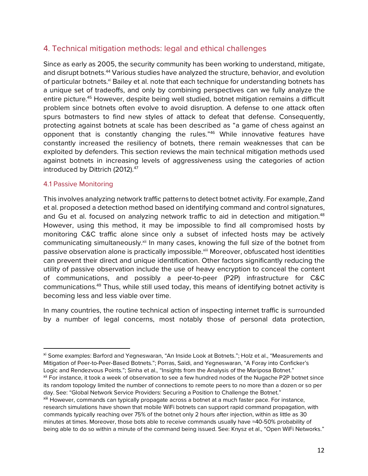# 4. Technical mitigation methods: legal and ethical challenges

Since as early as 2005, the security community has been working to understand, mitigate, and disrupt botnets.<sup>44</sup> Various studies have analyzed the structure, behavior, and evolution of particular botnets.<sup>xi</sup> Bailey et al. note that each technique for understanding botnets has a unique set of tradeoffs, and only by combining perspectives can we fully analyze the entire picture.<sup>45</sup> However, despite being well studied, botnet mitigation remains a difficult problem since botnets often evolve to avoid disruption. A defense to one attack often spurs botmasters to find new styles of attack to defeat that defense. Consequently, protecting against botnets at scale has been described as "a game of chess against an opponent that is constantly changing the rules."46 While innovative features have constantly increased the resiliency of botnets, there remain weaknesses that can be exploited by defenders. This section reviews the main technical mitigation methods used against botnets in increasing levels of aggressiveness using the categories of action introduced by Dittrich (2012).<sup>47</sup>

#### 4.1 Passive Monitoring

 $\overline{a}$ 

This involves analyzing network traffic patterns to detect botnet activity. For example, Zand et al. proposed a detection method based on identifying command and control signatures, and Gu et al. focused on analyzing network traffic to aid in detection and mitigation.<sup>48</sup> However, using this method, it may be impossible to find all compromised hosts by monitoring C&C traffic alone since only a subset of infected hosts may be actively communicating simultaneously.<sup>xii</sup> In many cases, knowing the full size of the botnet from passive observation alone is practically impossible.<sup>xiii</sup> Moreover, obfuscated host identities can prevent their direct and unique identification. Other factors significantly reducing the utility of passive observation include the use of heavy encryption to conceal the content of communications, and possibly a peer-to-peer (P2P) infrastructure for C&C communications.49 Thus, while still used today, this means of identifying botnet activity is becoming less and less viable over time.

In many countries, the routine technical action of inspecting internet traffic is surrounded by a number of legal concerns, most notably those of personal data protection,

xi Some examples: Barford and Yegneswaran, "An Inside Look at Botnets."; Holz et al., "Measurements and Mitigation of Peer-to-Peer-Based Botnets."; Porras, Saïdi, and Yegneswaran, "A Foray into Conficker's Logic and Rendezvous Points."; Sinha et al., "Insights from the Analysis of the Mariposa Botnet." xii For instance, it took a week of observation to see a few hundred nodes of the Nugache P2P botnet since its random topology limited the number of connections to remote peers to no more than a dozen or so per

day. See: "Global Network Service Providers: Securing a Position to Challenge the Botnet." xiii However, commands can typically propagate across a botnet at a much faster pace. For instance,

research simulations have shown that mobile WiFi botnets can support rapid command propagation, with commands typically reaching over 75% of the botnet only 2 hours after injection, within as little as 30 minutes at times. Moreover, those bots able to receive commands usually have ≈40-50% probability of being able to do so within a minute of the command being issued. See: Knysz et al., "Open WiFi Networks."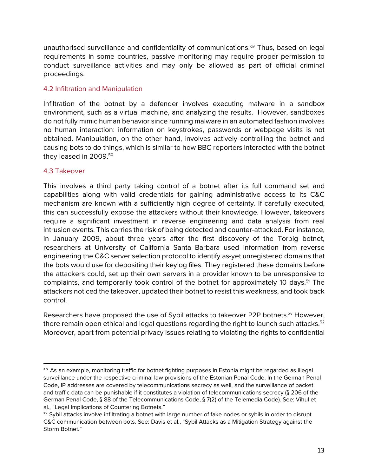unauthorised surveillance and confidentiality of communications.<sup>xiv</sup> Thus, based on legal requirements in some countries, passive monitoring may require proper permission to conduct surveillance activities and may only be allowed as part of official criminal proceedings.

# 4.2 Infiltration and Manipulation

Infiltration of the botnet by a defender involves executing malware in a sandbox environment, such as a virtual machine, and analyzing the results. However, sandboxes do not fully mimic human behavior since running malware in an automated fashion involves no human interaction: information on keystrokes, passwords or webpage visits is not obtained. Manipulation, on the other hand, involves actively controlling the botnet and causing bots to do things, which is similar to how BBC reporters interacted with the botnet they leased in 2009.<sup>50</sup>

#### 4.3 Takeover

 $\overline{a}$ 

This involves a third party taking control of a botnet after its full command set and capabilities along with valid credentials for gaining administrative access to its C&C mechanism are known with a sufficiently high degree of certainty. If carefully executed, this can successfully expose the attackers without their knowledge. However, takeovers require a significant investment in reverse engineering and data analysis from real intrusion events. This carries the risk of being detected and counter-attacked. For instance, in January 2009, about three years after the first discovery of the Torpig botnet, researchers at University of California Santa Barbara used information from reverse engineering the C&C server selection protocol to identify as-yet unregistered domains that the bots would use for depositing their keylog files. They registered these domains before the attackers could, set up their own servers in a provider known to be unresponsive to complaints, and temporarily took control of the botnet for approximately 10 days.<sup>51</sup> The attackers noticed the takeover, updated their botnet to resist this weakness, and took back control.

Researchers have proposed the use of Sybil attacks to takeover P2P botnets.<sup>xv</sup> However, there remain open ethical and legal questions regarding the right to launch such attacks.<sup>52</sup> Moreover, apart from potential privacy issues relating to violating the rights to confidential

xiv As an example, monitoring traffic for botnet fighting purposes in Estonia might be regarded as illegal surveillance under the respective criminal law provisions of the Estonian Penal Code. In the German Penal Code, IP addresses are covered by telecommunications secrecy as well, and the surveillance of packet and traffic data can be punishable if it constitutes a violation of telecommunications secrecy (§ 206 of the German Penal Code, § 88 of the Telecommunications Code, § 7(2) of the Telemedia Code). See: Vihul et al., "Legal Implications of Countering Botnets."

xv Sybil attacks involve infiltrating a botnet with large number of fake nodes or sybils in order to disrupt C&C communication between bots. See: Davis et al., "Sybil Attacks as a Mitigation Strategy against the Storm Botnet."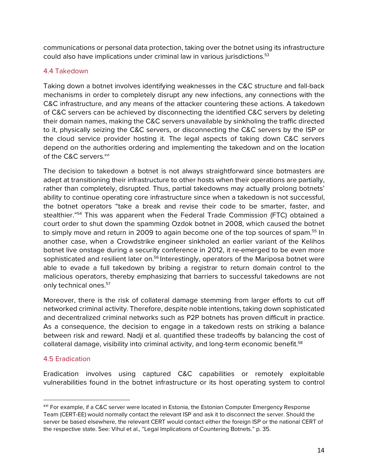communications or personal data protection, taking over the botnet using its infrastructure could also have implications under criminal law in various jurisdictions.<sup>53</sup>

# 4.4 Takedown

Taking down a botnet involves identifying weaknesses in the C&C structure and fall-back mechanisms in order to completely disrupt any new infections, any connections with the C&C infrastructure, and any means of the attacker countering these actions. A takedown of C&C servers can be achieved by disconnecting the identified C&C servers by deleting their domain names, making the C&C servers unavailable by sinkholing the traffic directed to it, physically seizing the C&C servers, or disconnecting the C&C servers by the ISP or the cloud service provider hosting it. The legal aspects of taking down C&C servers depend on the authorities ordering and implementing the takedown and on the location of the C&C servers.<sup>xvi</sup>

The decision to takedown a botnet is not always straightforward since botmasters are adept at transitioning their infrastructure to other hosts when their operations are partially, rather than completely, disrupted. Thus, partial takedowns may actually prolong botnets' ability to continue operating core infrastructure since when a takedown is not successful, the botnet operators "take a break and revise their code to be smarter, faster, and stealthier."54 This was apparent when the Federal Trade Commission (FTC) obtained a court order to shut down the spamming Ozdok botnet in 2008, which caused the botnet to simply move and return in 2009 to again become one of the top sources of spam.<sup>55</sup> In another case, when a Crowdstrike engineer sinkholed an earlier variant of the Kelihos botnet live onstage during a security conference in 2012, it re-emerged to be even more sophisticated and resilient later on.<sup>56</sup> Interestingly, operators of the Mariposa botnet were able to evade a full takedown by bribing a registrar to return domain control to the malicious operators, thereby emphasizing that barriers to successful takedowns are not only technical ones.<sup>57</sup>

Moreover, there is the risk of collateral damage stemming from larger efforts to cut off networked criminal activity. Therefore, despite noble intentions, taking down sophisticated and decentralized criminal networks such as P2P botnets has proven difficult in practice. As a consequence, the decision to engage in a takedown rests on striking a balance between risk and reward. Nadji et al. quantified these tradeoffs by balancing the cost of collateral damage, visibility into criminal activity, and long-term economic benefit.<sup>58</sup>

# 4.5 Eradication

 $\overline{a}$ 

Eradication involves using captured C&C capabilities or remotely exploitable vulnerabilities found in the botnet infrastructure or its host operating system to control

xvi For example, if a C&C server were located in Estonia, the Estonian Computer Emergency Response Team (CERT-EE) would normally contact the relevant ISP and ask it to disconnect the server. Should the server be based elsewhere, the relevant CERT would contact either the foreign ISP or the national CERT of the respective state. See: Vihul et al., "Legal Implications of Countering Botnets." p. 35.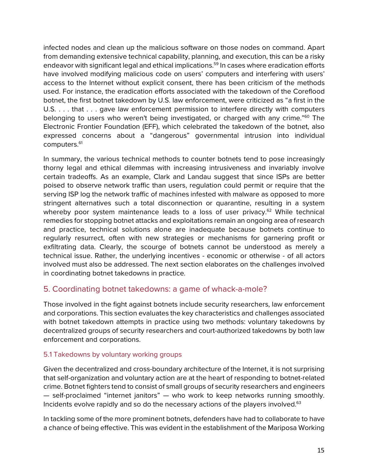infected nodes and clean up the malicious software on those nodes on command. Apart from demanding extensive technical capability, planning, and execution, this can be a risky endeavor with significant legal and ethical implications.<sup>59</sup> In cases where eradication efforts have involved modifying malicious code on users' computers and interfering with users' access to the Internet without explicit consent, there has been criticism of the methods used. For instance, the eradication efforts associated with the takedown of the Coreflood botnet, the first botnet takedown by U.S. law enforcement, were criticized as "a first in the U.S. . . . that . . . gave law enforcement permission to interfere directly with computers belonging to users who weren't being investigated, or charged with any crime."60 The Electronic Frontier Foundation (EFF), which celebrated the takedown of the botnet, also expressed concerns about a "dangerous" governmental intrusion into individual computers.<sup>61</sup>

In summary, the various technical methods to counter botnets tend to pose increasingly thorny legal and ethical dilemmas with increasing intrusiveness and invariably involve certain tradeoffs. As an example, Clark and Landau suggest that since ISPs are better poised to observe network traffic than users, regulation could permit or require that the serving ISP log the network traffic of machines infested with malware as opposed to more stringent alternatives such a total disconnection or quarantine, resulting in a system whereby poor system maintenance leads to a loss of user privacy.<sup>62</sup> While technical remedies for stopping botnet attacks and exploitations remain an ongoing area of research and practice, technical solutions alone are inadequate because botnets continue to regularly resurrect, often with new strategies or mechanisms for garnering profit or exfiltrating data. Clearly, the scourge of botnets cannot be understood as merely a technical issue. Rather, the underlying incentives - economic or otherwise - of all actors involved must also be addressed. The next section elaborates on the challenges involved in coordinating botnet takedowns in practice.

# 5. Coordinating botnet takedowns: a game of whack-a-mole?

Those involved in the fight against botnets include security researchers, law enforcement and corporations. This section evaluates the key characteristics and challenges associated with botnet takedown attempts in practice using two methods: voluntary takedowns by decentralized groups of security researchers and court-authorized takedowns by both law enforcement and corporations.

# 5.1 Takedowns by voluntary working groups

Given the decentralized and cross-boundary architecture of the Internet, it is not surprising that self-organization and voluntary action are at the heart of responding to botnet-related crime. Botnet fighters tend to consist of small groups of security researchers and engineers — self-proclaimed "internet janitors" — who work to keep networks running smoothly. Incidents evolve rapidly and so do the necessary actions of the players involved.<sup>63</sup>

In tackling some of the more prominent botnets, defenders have had to collaborate to have a chance of being effective. This was evident in the establishment of the Mariposa Working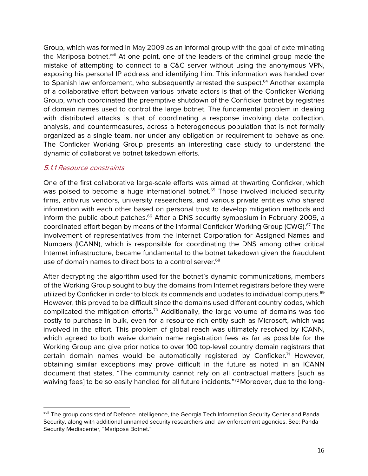Group, which was formed in May 2009 as an informal group with the goal of exterminating the Mariposa botnet.<sup>xvii</sup> At one point, one of the leaders of the criminal group made the mistake of attempting to connect to a C&C server without using the anonymous VPN, exposing his personal IP address and identifying him. This information was handed over to Spanish law enforcement, who subsequently arrested the suspect.<sup>64</sup> Another example of a collaborative effort between various private actors is that of the Conficker Working Group, which coordinated the preemptive shutdown of the Conficker botnet by registries of domain names used to control the large botnet. The fundamental problem in dealing with distributed attacks is that of coordinating a response involving data collection, analysis, and countermeasures, across a heterogeneous population that is not formally organized as a single team, nor under any obligation or requirement to behave as one. The Conficker Working Group presents an interesting case study to understand the dynamic of collaborative botnet takedown efforts.

#### 5.1.1 Resource constraints

 $\overline{a}$ 

One of the first collaborative large-scale efforts was aimed at thwarting Conficker, which was poised to become a huge international botnet.<sup>65</sup> Those involved included security firms, antivirus vendors, university researchers, and various private entities who shared information with each other based on personal trust to develop mitigation methods and inform the public about patches.<sup>66</sup> After a DNS security symposium in February 2009, a coordinated effort began by means of the informal Conficker Working Group (CWG).<sup>67</sup> The involvement of representatives from the Internet Corporation for Assigned Names and Numbers (ICANN), which is responsible for coordinating the DNS among other critical Internet infrastructure, became fundamental to the botnet takedown given the fraudulent use of domain names to direct bots to a control server.<sup>68</sup>

After decrypting the algorithm used for the botnet's dynamic communications, members of the Working Group sought to buy the domains from Internet registrars before they were utilized by Conficker in order to block its commands and updates to individual computers.<sup>69</sup> However, this proved to be difficult since the domains used different country codes, which complicated the mitigation efforts.<sup>70</sup> Additionally, the large volume of domains was too costly to purchase in bulk, even for a resource rich entity such as Microsoft, which was involved in the effort. This problem of global reach was ultimately resolved by ICANN, which agreed to both waive domain name registration fees as far as possible for the Working Group and give prior notice to over 100 top-level country domain registrars that certain domain names would be automatically registered by Conficker.<sup>71</sup> However, obtaining similar exceptions may prove difficult in the future as noted in an ICANN document that states, "The community cannot rely on all contractual matters [such as waiving fees] to be so easily handled for all future incidents."<sup>72</sup> Moreover, due to the long-

xvii The group consisted of Defence Intelligence, the Georgia Tech Information Security Center and Panda Security, along with additional unnamed security researchers and law enforcement agencies. See: Panda Security Mediacenter, "Mariposa Botnet."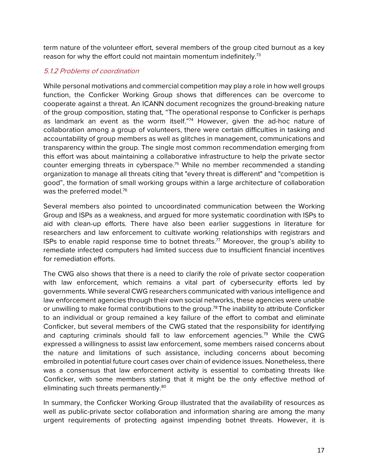term nature of the volunteer effort, several members of the group cited burnout as a key reason for why the effort could not maintain momentum indefinitely.<sup>73</sup>

# 5.1.2 Problems of coordination

While personal motivations and commercial competition may play a role in how well groups function, the Conficker Working Group shows that differences can be overcome to cooperate against a threat. An ICANN document recognizes the ground-breaking nature of the group composition, stating that, "The operational response to Conficker is perhaps as landmark an event as the worm itself."74 However, given the ad-hoc nature of collaboration among a group of volunteers, there were certain difficulties in tasking and accountability of group members as well as glitches in management, communications and transparency within the group. The single most common recommendation emerging from this effort was about maintaining a collaborative infrastructure to help the private sector counter emerging threats in cyberspace.<sup>75</sup> While no member recommended a standing organization to manage all threats citing that "every threat is different" and "competition is good", the formation of small working groups within a large architecture of collaboration was the preferred model.<sup>76</sup>

Several members also pointed to uncoordinated communication between the Working Group and ISPs as a weakness, and argued for more systematic coordination with ISPs to aid with clean-up efforts. There have also been earlier suggestions in literature for researchers and law enforcement to cultivate working relationships with registrars and ISPs to enable rapid response time to botnet threats.<sup>77</sup> Moreover, the group's ability to remediate infected computers had limited success due to insufficient financial incentives for remediation efforts.

The CWG also shows that there is a need to clarify the role of private sector cooperation with law enforcement, which remains a vital part of cybersecurity efforts led by governments. While several CWG researchers communicated with various intelligence and law enforcement agencies through their own social networks, these agencies were unable or unwilling to make formal contributions to the group.<sup>78</sup> The inability to attribute Conficker to an individual or group remained a key failure of the effort to combat and eliminate Conficker, but several members of the CWG stated that the responsibility for identifying and capturing criminals should fall to law enforcement agencies.<sup>79</sup> While the CWG expressed a willingness to assist law enforcement, some members raised concerns about the nature and limitations of such assistance, including concerns about becoming embroiled in potential future court cases over chain of evidence issues. Nonetheless, there was a consensus that law enforcement activity is essential to combating threats like Conficker, with some members stating that it might be the only effective method of eliminating such threats permanently.<sup>80</sup>

In summary, the Conficker Working Group illustrated that the availability of resources as well as public-private sector collaboration and information sharing are among the many urgent requirements of protecting against impending botnet threats. However, it is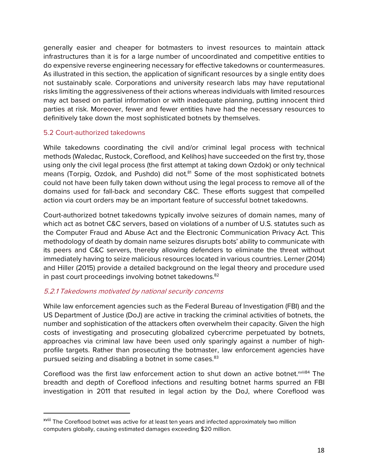generally easier and cheaper for botmasters to invest resources to maintain attack infrastructures than it is for a large number of uncoordinated and competitive entities to do expensive reverse engineering necessary for effective takedowns or countermeasures. As illustrated in this section, the application of significant resources by a single entity does not sustainably scale. Corporations and university research labs may have reputational risks limiting the aggressiveness of their actions whereas individuals with limited resources may act based on partial information or with inadequate planning, putting innocent third parties at risk. Moreover, fewer and fewer entities have had the necessary resources to definitively take down the most sophisticated botnets by themselves.

#### 5.2 Court-authorized takedowns

While takedowns coordinating the civil and/or criminal legal process with technical methods (Waledac, Rustock, Coreflood, and Kelihos) have succeeded on the first try, those using only the civil legal process (the first attempt at taking down Ozdok) or only technical means (Torpig, Ozdok, and Pushdo) did not.<sup>81</sup> Some of the most sophisticated botnets could not have been fully taken down without using the legal process to remove all of the domains used for fall-back and secondary C&C. These efforts suggest that compelled action via court orders may be an important feature of successful botnet takedowns.

Court-authorized botnet takedowns typically involve seizures of domain names, many of which act as botnet C&C servers, based on violations of a number of U.S. statutes such as the Computer Fraud and Abuse Act and the Electronic Communication Privacy Act. This methodology of death by domain name seizures disrupts bots' ability to communicate with its peers and C&C servers, thereby allowing defenders to eliminate the threat without immediately having to seize malicious resources located in various countries. Lerner (2014) and Hiller (2015) provide a detailed background on the legal theory and procedure used in past court proceedings involving botnet takedowns.<sup>82</sup>

# 5.2.1 Takedowns motivated by national security concerns

While law enforcement agencies such as the Federal Bureau of Investigation (FBI) and the US Department of Justice (DoJ) are active in tracking the criminal activities of botnets, the number and sophistication of the attackers often overwhelm their capacity. Given the high costs of investigating and prosecuting globalized cybercrime perpetuated by botnets, approaches via criminal law have been used only sparingly against a number of highprofile targets. Rather than prosecuting the botmaster, law enforcement agencies have pursued seizing and disabling a botnet in some cases.<sup>83</sup>

Coreflood was the first law enforcement action to shut down an active botnet.<sup>xviii84</sup> The breadth and depth of Coreflood infections and resulting botnet harms spurred an FBI investigation in 2011 that resulted in legal action by the DoJ, where Coreflood was

xviii The Coreflood botnet was active for at least ten years and infected approximately two million computers globally, causing estimated damages exceeding \$20 million.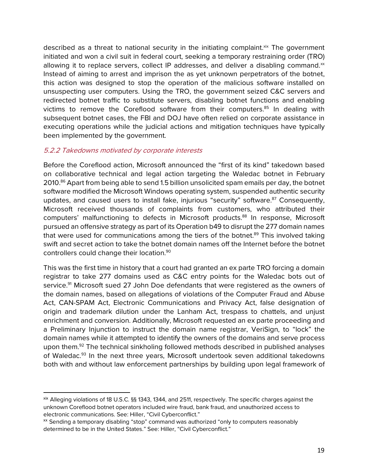described as a threat to national security in the initiating complaint. Xix The government initiated and won a civil suit in federal court, seeking a temporary restraining order (TRO) allowing it to replace servers, collect IP addresses, and deliver a disabling command. $x$ Instead of aiming to arrest and imprison the as yet unknown perpetrators of the botnet, this action was designed to stop the operation of the malicious software installed on unsuspecting user computers. Using the TRO, the government seized C&C servers and redirected botnet traffic to substitute servers, disabling botnet functions and enabling victims to remove the Coreflood software from their computers.<sup>85</sup> In dealing with subsequent botnet cases, the FBI and DOJ have often relied on corporate assistance in executing operations while the judicial actions and mitigation techniques have typically been implemented by the government.

# 5.2.2 Takedowns motivated by corporate interests

 $\overline{a}$ 

Before the Coreflood action, Microsoft announced the "first of its kind" takedown based on collaborative technical and legal action targeting the Waledac botnet in February 2010.<sup>86</sup> Apart from being able to send 1.5 billion unsolicited spam emails per day, the botnet software modified the Microsoft Windows operating system, suspended authentic security updates, and caused users to install fake, injurious "security" software.<sup>87</sup> Consequently, Microsoft received thousands of complaints from customers, who attributed their computers' malfunctioning to defects in Microsoft products.<sup>88</sup> In response, Microsoft pursued an offensive strategy as part of its Operation b49 to disrupt the 277 domain names that were used for communications among the tiers of the botnet.<sup>89</sup> This involved taking swift and secret action to take the botnet domain names off the Internet before the botnet controllers could change their location.90

This was the first time in history that a court had granted an ex parte TRO forcing a domain registrar to take 277 domains used as C&C entry points for the Waledac bots out of service.<sup>91</sup> Microsoft sued 27 John Doe defendants that were registered as the owners of the domain names, based on allegations of violations of the Computer Fraud and Abuse Act, CAN-SPAM Act, Electronic Communications and Privacy Act, false designation of origin and trademark dilution under the Lanham Act, trespass to chattels, and unjust enrichment and conversion. Additionally, Microsoft requested an ex parte proceeding and a Preliminary Injunction to instruct the domain name registrar, VeriSign, to "lock" the domain names while it attempted to identify the owners of the domains and serve process upon them.<sup>92</sup> The technical sinkholing followed methods described in published analyses of Waledac.<sup>93</sup> In the next three years, Microsoft undertook seven additional takedowns both with and without law enforcement partnerships by building upon legal framework of

xix Alleging violations of 18 U.S.C. §§ 1343, 1344, and 2511, respectively. The specific charges against the unknown Coreflood botnet operators included wire fraud, bank fraud, and unauthorized access to electronic communications. See: Hiller, "Civil Cyberconflict."

xx Sending a temporary disabling "stop" command was authorized "only to computers reasonably determined to be in the United States." See: Hiller, "Civil Cyberconflict."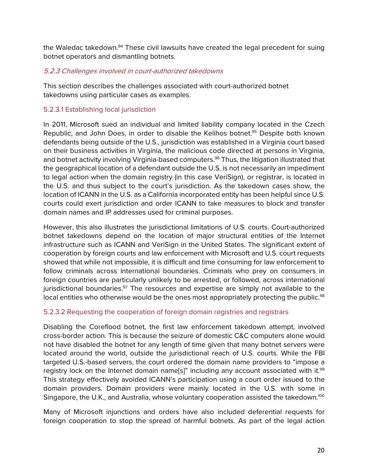the Waledac takedown.<sup>94</sup> These civil lawsuits have created the legal precedent for suing botnet operators and dismantling botnets.

# 5.2.3 Challenges involved in court-authorized takedowns

This section describes the challenges associated with court-authorized botnet takedowns using particular cases as examples.

# 5.2.3.1 Establishing local jurisdiction

In 2011, Microsoft sued an individual and limited liability company located in the Czech Republic, and John Does, in order to disable the Kelihos botnet.<sup>95</sup> Despite both known defendants being outside of the U.S., jurisdiction was established in a Virginia court based on their business activities in Virginia, the malicious code directed at persons in Virginia, and botnet activity involving Virginia-based computers.<sup>96</sup> Thus, the litigation illustrated that the geographical location of a defendant outside the U.S. is not necessarily an impediment to legal action when the domain registry (in this case VeriSign), or registrar, is located in the U.S. and thus subject to the court's jurisdiction. As the takedown cases show, the location of ICANN in the U.S. as a California incorporated entity has been helpful since U.S. courts could exert jurisdiction and order ICANN to take measures to block and transfer domain names and IP addresses used for criminal purposes.

However, this also illustrates the jurisdictional limitations of U.S. courts. Court-authorized botnet takedowns depend on the location of major structural entities of the Internet infrastructure such as ICANN and VeriSign in the United States. The significant extent of cooperation by foreign courts and law enforcement with Microsoft and U.S. court requests showed that while not impossible, it is difficult and time consuming for law enforcement to follow criminals across international boundaries. Criminals who prey on consumers in foreign countries are particularly unlikely to be arrested, or followed, across international jurisdictional boundaries. $97$  The resources and expertise are simply not available to the local entities who otherwise would be the ones most appropriately protecting the public.<sup>98</sup>

# 5.2.3.2 Requesting the cooperation of foreign domain registries and registrars

Disabling the Coreflood botnet, the first law enforcement takedown attempt, involved cross-border action. This is because the seizure of domestic C&C computers alone would not have disabled the botnet for any length of time given that many botnet servers were located around the world, outside the jurisdictional reach of U.S. courts. While the FBI targeted U.S.-based servers, the court ordered the domain name providers to "impose a registry lock on the Internet domain name<sup>[5]"</sup> including any account associated with it.<sup>99</sup> This strategy effectively avoided ICANN's participation using a court order issued to the domain providers. Domain providers were mainly located in the U.S. with some in Singapore, the U.K., and Australia, whose voluntary cooperation assisted the takedown.<sup>100</sup>

Many of Microsoft injunctions and orders have also included deferential requests for foreign cooperation to stop the spread of harmful botnets. As part of the legal action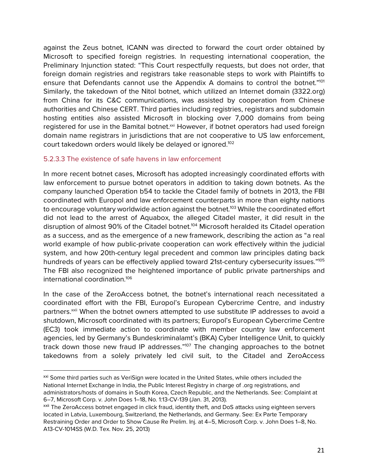against the Zeus botnet, ICANN was directed to forward the court order obtained by Microsoft to specified foreign registries. In requesting international cooperation, the Preliminary Injunction stated: "This Court respectfully requests, but does not order, that foreign domain registries and registrars take reasonable steps to work with Plaintiffs to ensure that Defendants cannot use the Appendix A domains to control the botnet."<sup>101</sup> Similarly, the takedown of the Nitol botnet, which utilized an Internet domain (3322.org) from China for its C&C communications, was assisted by cooperation from Chinese authorities and Chinese CERT. Third parties including registries, registrars and subdomain hosting entities also assisted Microsoft in blocking over 7,000 domains from being registered for use in the Bamital botnet.<sup>xxi</sup> However, if botnet operators had used foreign domain name registrars in jurisdictions that are not cooperative to US law enforcement, court takedown orders would likely be delayed or ignored.<sup>102</sup>

#### 5.2.3.3 The existence of safe havens in law enforcement

 $\overline{a}$ 

In more recent botnet cases, Microsoft has adopted increasingly coordinated efforts with law enforcement to pursue botnet operators in addition to taking down botnets. As the company launched Operation b54 to tackle the Citadel family of botnets in 2013, the FBI coordinated with Europol and law enforcement counterparts in more than eighty nations to encourage voluntary worldwide action against the botnet.<sup>103</sup> While the coordinated effort did not lead to the arrest of Aquabox, the alleged Citadel master, it did result in the disruption of almost 90% of the Citadel botnet.<sup>104</sup> Microsoft heralded its Citadel operation as a success, and as the emergence of a new framework, describing the action as "a real world example of how public-private cooperation can work effectively within the judicial system, and how 20th-century legal precedent and common law principles dating back hundreds of years can be effectively applied toward 21st-century cybersecurity issues."<sup>105</sup> The FBI also recognized the heightened importance of public private partnerships and international coordination.106

In the case of the ZeroAccess botnet, the botnet's international reach necessitated a coordinated effort with the FBI, Europol's European Cybercrime Centre, and industry partners.<sup>xxii</sup> When the botnet owners attempted to use substitute IP addresses to avoid a shutdown, Microsoft coordinated with its partners; Europol's European Cybercrime Centre (EC3) took immediate action to coordinate with member country law enforcement agencies, led by Germany's Bundeskriminalamt's (BKA) Cyber Intelligence Unit, to quickly track down those new fraud IP addresses."<sup>107</sup> The changing approaches to the botnet takedowns from a solely privately led civil suit, to the Citadel and ZeroAccess

xxi Some third parties such as VeriSign were located in the United States, while others included the National Internet Exchange in India, the Public Interest Registry in charge of .org registrations, and administrators/hosts of domains in South Korea, Czech Republic, and the Netherlands. See: Complaint at 6–7, Microsoft Corp. v. John Does 1–18, No. 1:13-CV-139 (Jan. 31, 2013).

xxii The ZeroAccess botnet engaged in click fraud, identity theft, and DoS attacks using eighteen servers located in Latvia, Luxembourg, Switzerland, the Netherlands, and Germany. See: Ex Parte Temporary Restraining Order and Order to Show Cause Re Prelim. Inj. at 4–5, Microsoft Corp. v. John Does 1–8, No. A13-CV-1014SS (W.D. Tex. Nov. 25, 2013)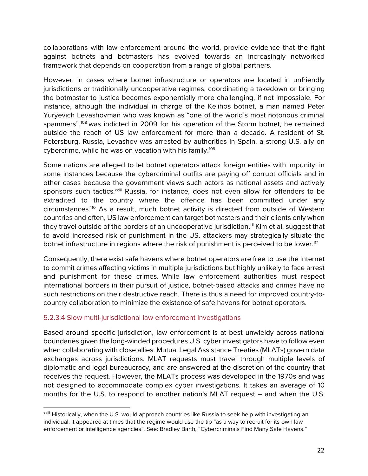collaborations with law enforcement around the world, provide evidence that the fight against botnets and botmasters has evolved towards an increasingly networked framework that depends on cooperation from a range of global partners.

However, in cases where botnet infrastructure or operators are located in unfriendly jurisdictions or traditionally uncooperative regimes, coordinating a takedown or bringing the botmaster to justice becomes exponentially more challenging, if not impossible. For instance, although the individual in charge of the Kelihos botnet, a man named Peter Yuryevich Levashovman who was known as "one of the world's most notorious criminal spammers",108 was indicted in 2009 for his operation of the Storm botnet, he remained outside the reach of US law enforcement for more than a decade. A resident of St. Petersburg, Russia, Levashov was arrested by authorities in Spain, a strong U.S. ally on cybercrime, while he was on vacation with his family.<sup>109</sup>

Some nations are alleged to let botnet operators attack foreign entities with impunity, in some instances because the cybercriminal outfits are paying off corrupt officials and in other cases because the government views such actors as national assets and actively sponsors such tactics.<sup>xxiii</sup> Russia, for instance, does not even allow for offenders to be extradited to the country where the offence has been committed under any circumstances.<sup>110</sup> As a result, much botnet activity is directed from outside of Western countries and often, US law enforcement can target botmasters and their clients only when they travel outside of the borders of an uncooperative jurisdiction.<sup>111</sup> Kim et al. suggest that to avoid increased risk of punishment in the US, attackers may strategically situate the botnet infrastructure in regions where the risk of punishment is perceived to be lower.<sup>112</sup>

Consequently, there exist safe havens where botnet operators are free to use the Internet to commit crimes affecting victims in multiple jurisdictions but highly unlikely to face arrest and punishment for these crimes. While law enforcement authorities must respect international borders in their pursuit of justice, botnet-based attacks and crimes have no such restrictions on their destructive reach. There is thus a need for improved country-tocountry collaboration to minimize the existence of safe havens for botnet operators.

# 5.2.3.4 Slow multi-jurisdictional law enforcement investigations

 $\overline{a}$ 

Based around specific jurisdiction, law enforcement is at best unwieldy across national boundaries given the long-winded procedures U.S. cyber investigators have to follow even when collaborating with close allies. Mutual Legal Assistance Treaties (MLATs) govern data exchanges across jurisdictions. MLAT requests must travel through multiple levels of diplomatic and legal bureaucracy, and are answered at the discretion of the country that receives the request. However, the MLATs process was developed in the 1970s and was not designed to accommodate complex cyber investigations. It takes an average of 10 months for the U.S. to respond to another nation's MLAT request – and when the U.S.

xxiii Historically, when the U.S. would approach countries like Russia to seek help with investigating an individual, it appeared at times that the regime would use the tip "as a way to recruit for its own law enforcement or intelligence agencies". See: Bradley Barth, "Cybercriminals Find Many Safe Havens."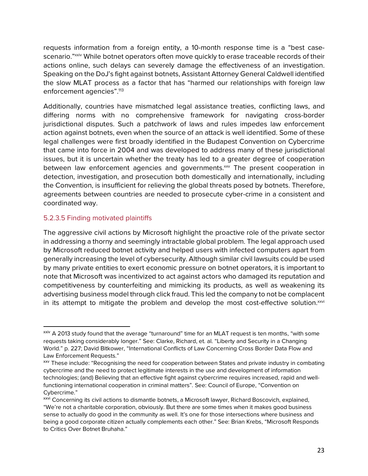requests information from a foreign entity, a 10-month response time is a "best casescenario."xxiv While botnet operators often move quickly to erase traceable records of their actions online, such delays can severely damage the effectiveness of an investigation. Speaking on the DoJ's fight against botnets, Assistant Attorney General Caldwell identified the slow MLAT process as a factor that has "harmed our relationships with foreign law enforcement agencies".<sup>113</sup>

Additionally, countries have mismatched legal assistance treaties, conflicting laws, and differing norms with no comprehensive framework for navigating cross-border jurisdictional disputes. Such a patchwork of laws and rules impedes law enforcement action against botnets, even when the source of an attack is well identified. Some of these legal challenges were first broadly identified in the Budapest Convention on Cybercrime that came into force in 2004 and was developed to address many of these jurisdictional issues, but it is uncertain whether the treaty has led to a greater degree of cooperation between law enforcement agencies and governments.<sup>xxv</sup> The present cooperation in detection, investigation, and prosecution both domestically and internationally, including the Convention, is insufficient for relieving the global threats posed by botnets. Therefore, agreements between countries are needed to prosecute cyber-crime in a consistent and coordinated way.

# 5.2.3.5 Finding motivated plaintiffs

 $\overline{a}$ 

The aggressive civil actions by Microsoft highlight the proactive role of the private sector in addressing a thorny and seemingly intractable global problem. The legal approach used by Microsoft reduced botnet activity and helped users with infected computers apart from generally increasing the level of cybersecurity. Although similar civil lawsuits could be used by many private entities to exert economic pressure on botnet operators, it is important to note that Microsoft was incentivized to act against actors who damaged its reputation and competitiveness by counterfeiting and mimicking its products, as well as weakening its advertising business model through click fraud. This led the company to not be complacent in its attempt to mitigate the problem and develop the most cost-effective solution. $x<sub>vi</sub>$ 

xxiv A 2013 study found that the average "turnaround" time for an MLAT request is ten months, "with some requests taking considerably longer." See: Clarke, Richard, et. al. "Liberty and Security in a Changing World." p. 227; David Bitkower, "International Conflicts of Law Concerning Cross Border Data Flow and Law Enforcement Requests."

xxv These include: "Recognising the need for cooperation between States and private industry in combating cybercrime and the need to protect legitimate interests in the use and development of information technologies; (and) Believing that an effective fight against cybercrime requires increased, rapid and wellfunctioning international cooperation in criminal matters". See: Council of Europe, "Convention on Cybercrime."

xxvi Concerning its civil actions to dismantle botnets, a Microsoft lawyer, Richard Boscovich, explained, "We're not a charitable corporation, obviously. But there are some times when it makes good business sense to actually do good in the community as well. It's one for those intersections where business and being a good corporate citizen actually complements each other." See: Brian Krebs, "Microsoft Responds to Critics Over Botnet Bruhaha."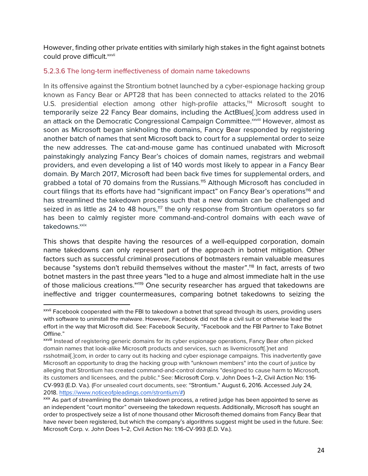However, finding other private entities with similarly high stakes in the fight against botnets could prove difficult. xxvii

# 5.2.3.6 The long-term ineffectiveness of domain name takedowns

In its offensive against the Strontium botnet launched by a cyber-espionage hacking group known as Fancy Bear or APT28 that has been connected to attacks related to the 2016 U.S. presidential election among other high-profile attacks,<sup>114</sup> Microsoft sought to temporarily seize 22 Fancy Bear domains, including the ActBlues[.]com address used in an attack on the Democratic Congressional Campaign Committee.<sup>xxviii</sup> However, almost as soon as Microsoft began sinkholing the domains, Fancy Bear responded by registering another batch of names that sent Microsoft back to court for a supplemental order to seize the new addresses. The cat-and-mouse game has continued unabated with Microsoft painstakingly analyzing Fancy Bear's choices of domain names, registrars and webmail providers, and even developing a list of 140 words most likely to appear in a Fancy Bear domain. By March 2017, Microsoft had been back five times for supplemental orders, and grabbed a total of 70 domains from the Russians.<sup>115</sup> Although Microsoft has concluded in court filings that its efforts have had "significant impact" on Fancy Bear's operations<sup>116</sup> and has streamlined the takedown process such that a new domain can be challenged and seized in as little as 24 to 48 hours,<sup>117</sup> the only response from Strontium operators so far has been to calmly register more command-and-control domains with each wave of takedowns.<sup>xxix</sup>

This shows that despite having the resources of a well-equipped corporation, domain name takedowns can only represent part of the approach in botnet mitigation. Other factors such as successful criminal prosecutions of botmasters remain valuable measures because "systems don't rebuild themselves without the master".<sup>118</sup> In fact, arrests of two botnet masters in the past three years "led to a huge and almost immediate halt in the use of those malicious creations."<sup>119</sup> One security researcher has argued that takedowns are ineffective and trigger countermeasures, comparing botnet takedowns to seizing the

xxvii Facebook cooperated with the FBI to takedown a botnet that spread through its users, providing users with software to uninstall the malware. However, Facebook did not file a civil suit or otherwise lead the effort in the way that Microsoft did. See: Facebook Security, "Facebook and the FBI Partner to Take Botnet Offline."

xxviii Instead of registering generic domains for its cyber espionage operations, Fancy Bear often picked domain names that look-alike Microsoft products and services, such as livemicrosoft[.]net and rsshotmail[.]com, in order to carry out its hacking and cyber espionage campaigns. This inadvertently gave Microsoft an opportunity to drag the hacking group with "unknown members" into the court of justice by alleging that Strontium has created command-and-control domains "designed to cause harm to Microsoft, its customers and licensees, and the public." See: Microsoft Corp. v. John Does 1–2, Civil Action No: 1:16- CV-993 (E.D. Va.). (For unsealed court documents, see: "Strontium." August 6, 2016. Accessed July 24, 2018. https://www.noticeofpleadings.com/strontium/#)

xxix As part of streamlining the domain takedown process, a retired judge has been appointed to serve as an independent "court monitor" overseeing the takedown requests. Additionally, Microsoft has sought an order to prospectively seize a list of none thousand other Microsoft-themed domains from Fancy Bear that have never been registered, but which the company's algorithms suggest might be used in the future. See: Microsoft Corp. v. John Does 1–2, Civil Action No: 1:16-CV-993 (E.D. Va.).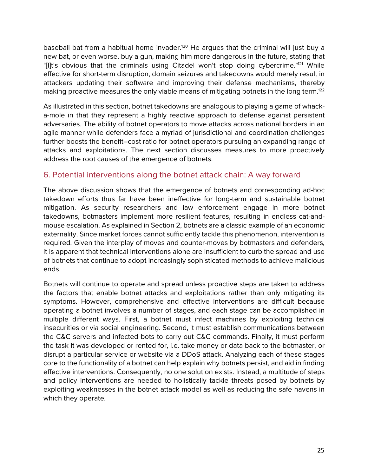baseball bat from a habitual home invader.<sup>120</sup> He argues that the criminal will just buy a new bat, or even worse, buy a gun, making him more dangerous in the future, stating that "[I]t's obvious that the criminals using Citadel won't stop doing cybercrime."<sup>121</sup> While effective for short-term disruption, domain seizures and takedowns would merely result in attackers updating their software and improving their defense mechanisms, thereby making proactive measures the only viable means of mitigating botnets in the long term.<sup>122</sup>

As illustrated in this section, botnet takedowns are analogous to playing a game of whacka-mole in that they represent a highly reactive approach to defense against persistent adversaries. The ability of botnet operators to move attacks across national borders in an agile manner while defenders face a myriad of jurisdictional and coordination challenges further boosts the benefit–cost ratio for botnet operators pursuing an expanding range of attacks and exploitations. The next section discusses measures to more proactively address the root causes of the emergence of botnets.

# 6. Potential interventions along the botnet attack chain: A way forward

The above discussion shows that the emergence of botnets and corresponding ad-hoc takedown efforts thus far have been ineffective for long-term and sustainable botnet mitigation. As security researchers and law enforcement engage in more botnet takedowns, botmasters implement more resilient features, resulting in endless cat-andmouse escalation. As explained in Section 2, botnets are a classic example of an economic externality. Since market forces cannot sufficiently tackle this phenomenon, intervention is required. Given the interplay of moves and counter-moves by botmasters and defenders, it is apparent that technical interventions alone are insufficient to curb the spread and use of botnets that continue to adopt increasingly sophisticated methods to achieve malicious ends.

Botnets will continue to operate and spread unless proactive steps are taken to address the factors that enable botnet attacks and exploitations rather than only mitigating its symptoms. However, comprehensive and effective interventions are difficult because operating a botnet involves a number of stages, and each stage can be accomplished in multiple different ways. First, a botnet must infect machines by exploiting technical insecurities or via social engineering. Second, it must establish communications between the C&C servers and infected bots to carry out C&C commands. Finally, it must perform the task it was developed or rented for, i.e. take money or data back to the botmaster, or disrupt a particular service or website via a DDoS attack. Analyzing each of these stages core to the functionality of a botnet can help explain why botnets persist, and aid in finding effective interventions. Consequently, no one solution exists. Instead, a multitude of steps and policy interventions are needed to holistically tackle threats posed by botnets by exploiting weaknesses in the botnet attack model as well as reducing the safe havens in which they operate.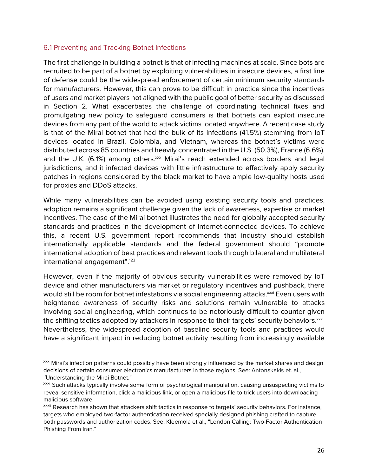#### 6.1 Preventing and Tracking Botnet Infections

 $\overline{a}$ 

The first challenge in building a botnet is that of infecting machines at scale. Since bots are recruited to be part of a botnet by exploiting vulnerabilities in insecure devices, a first line of defense could be the widespread enforcement of certain minimum security standards for manufacturers. However, this can prove to be difficult in practice since the incentives of users and market players not aligned with the public goal of better security as discussed in Section 2. What exacerbates the challenge of coordinating technical fixes and promulgating new policy to safeguard consumers is that botnets can exploit insecure devices from any part of the world to attack victims located anywhere. A recent case study is that of the Mirai botnet that had the bulk of its infections (41.5%) stemming from IoT devices located in Brazil, Colombia, and Vietnam, whereas the botnet's victims were distributed across 85 countries and heavily concentrated in the U.S. (50.3%), France (6.6%), and the U.K. (6.1%) among others.<sup>xxx</sup> Mirai's reach extended across borders and legal jurisdictions, and it infected devices with little infrastructure to effectively apply security patches in regions considered by the black market to have ample low-quality hosts used for proxies and DDoS attacks.

While many vulnerabilities can be avoided using existing security tools and practices, adoption remains a significant challenge given the lack of awareness, expertise or market incentives. The case of the Mirai botnet illustrates the need for globally accepted security standards and practices in the development of Internet-connected devices. To achieve this, a recent U.S. government report recommends that industry should establish internationally applicable standards and the federal government should "promote international adoption of best practices and relevant tools through bilateral and multilateral international engagement".<sup>123</sup>

However, even if the majority of obvious security vulnerabilities were removed by IoT device and other manufacturers via market or regulatory incentives and pushback, there would still be room for botnet infestations via social engineering attacks.<sup>xxi</sup> Even users with heightened awareness of security risks and solutions remain vulnerable to attacks involving social engineering, which continues to be notoriously difficult to counter given the shifting tactics adopted by attackers in response to their targets' security behaviors. xxxii Nevertheless, the widespread adoption of baseline security tools and practices would have a significant impact in reducing botnet activity resulting from increasingly available

xxx Mirai's infection patterns could possibly have been strongly influenced by the market shares and design decisions of certain consumer electronics manufacturers in those regions. See: Antonakakis et. al., "Understanding the Mirai Botnet."

xxxi Such attacks typically involve some form of psychological manipulation, causing unsuspecting victims to reveal sensitive information, click a malicious link, or open a malicious file to trick users into downloading malicious software.

xxxii Research has shown that attackers shift tactics in response to targets' security behaviors. For instance, targets who employed two-factor authentication received specially designed phishing crafted to capture both passwords and authorization codes. See: Kleemola et al., "London Calling: Two-Factor Authentication Phishing From Iran."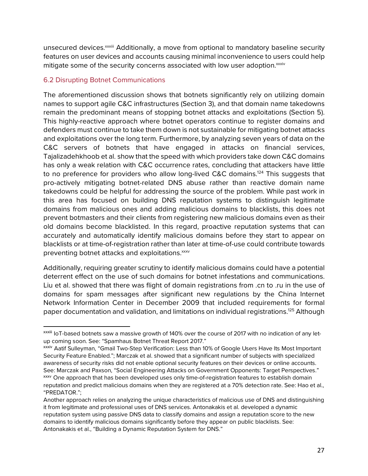unsecured devices.xxxiii Additionally, a move from optional to mandatory baseline security features on user devices and accounts causing minimal inconvenience to users could help mitigate some of the security concerns associated with low user adoption.<sup>xxxiv</sup>

# 6.2 Disrupting Botnet Communications

 $\overline{a}$ 

The aforementioned discussion shows that botnets significantly rely on utilizing domain names to support agile C&C infrastructures (Section 3), and that domain name takedowns remain the predominant means of stopping botnet attacks and exploitations (Section 5). This highly-reactive approach where botnet operators continue to register domains and defenders must continue to take them down is not sustainable for mitigating botnet attacks and exploitations over the long term. Furthermore, by analyzing seven years of data on the C&C servers of botnets that have engaged in attacks on financial services, Tajalizadehkhoob et al. show that the speed with which providers take down C&C domains has only a weak relation with C&C occurrence rates, concluding that attackers have little to no preference for providers who allow long-lived C&C domains.<sup>124</sup> This suggests that pro-actively mitigating botnet-related DNS abuse rather than reactive domain name takedowns could be helpful for addressing the source of the problem. While past work in this area has focused on building DNS reputation systems to distinguish legitimate domains from malicious ones and adding malicious domains to blacklists, this does not prevent botmasters and their clients from registering new malicious domains even as their old domains become blacklisted. In this regard, proactive reputation systems that can accurately and automatically identify malicious domains before they start to appear on blacklists or at time-of-registration rather than later at time-of-use could contribute towards preventing botnet attacks and exploitations.<sup>xxxv</sup>

Additionally, requiring greater scrutiny to identify malicious domains could have a potential deterrent effect on the use of such domains for botnet infestations and communications. Liu et al. showed that there was flight of domain registrations from .cn to .ru in the use of domains for spam messages after significant new regulations by the China Internet Network Information Center in December 2009 that included requirements for formal paper documentation and validation, and limitations on individual registrations.125 Although

xxxiii IoT-based botnets saw a massive growth of 140% over the course of 2017 with no indication of any letup coming soon. See: "Spamhaus Botnet Threat Report 2017."

xxxiv Aatif Sulleyman, "Gmail Two-Step Verification: Less than 10% of Google Users Have Its Most Important Security Feature Enabled."; Marczak et al. showed that a significant number of subjects with specialized awareness of security risks did not enable optional security features on their devices or online accounts. See: Marczak and Paxson, "Social Engineering Attacks on Government Opponents: Target Perspectives." xxxv One approach that has been developed uses only time-of-registration features to establish domain reputation and predict malicious domains when they are registered at a 70% detection rate. See: Hao et al., "PREDATOR.";

Another approach relies on analyzing the unique characteristics of malicious use of DNS and distinguishing it from legitimate and professional uses of DNS services. Antonakakis et al. developed a dynamic reputation system using passive DNS data to classify domains and assign a reputation score to the new domains to identify malicious domains significantly before they appear on public blacklists. See: Antonakakis et al., "Building a Dynamic Reputation System for DNS."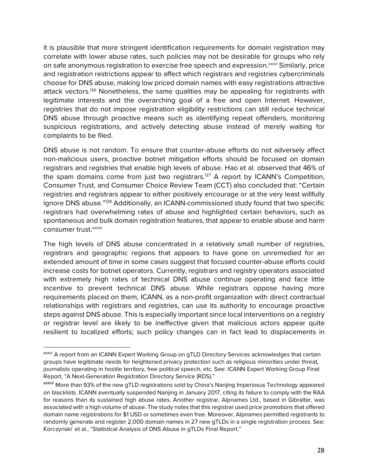it is plausible that more stringent identification requirements for domain registration may correlate with lower abuse rates, such policies may not be desirable for groups who rely on safe anonymous registration to exercise free speech and expression.<sup>xxxvi</sup> Similarly, price and registration restrictions appear to affect which registrars and registries cybercriminals choose for DNS abuse, making low priced domain names with easy registrations attractive attack vectors.<sup>126</sup> Nonetheless, the same qualities may be appealing for registrants with legitimate interests and the overarching goal of a free and open Internet. However, registries that do not impose registration eligibility restrictions can still reduce technical DNS abuse through proactive means such as identifying repeat offenders, monitoring suspicious registrations, and actively detecting abuse instead of merely waiting for complaints to be filed.

DNS abuse is not random. To ensure that counter-abuse efforts do not adversely affect non-malicious users, proactive botnet mitigation efforts should be focused on domain registrars and registries that enable high levels of abuse. Hao et al. observed that 46% of the spam domains come from just two registrars.<sup>127</sup> A report by ICANN's Competition, Consumer Trust, and Consumer Choice Review Team (CCT) also concluded that: "Certain registries and registrars appear to either positively encourage or at the very least willfully ignore DNS abuse."<sup>128</sup> Additionally, an ICANN-commissioned study found that two specific registrars had overwhelming rates of abuse and highlighted certain behaviors, such as spontaneous and bulk domain registration features, that appear to enable abuse and harm consumer trust.<sup>xxxvii</sup>

The high levels of DNS abuse concentrated in a relatively small number of registries, registrars and geographic regions that appears to have gone on unremedied for an extended amount of time in some cases suggest that focused counter-abuse efforts could increase costs for botnet operators. Currently, registrars and registry operators associated with extremely high rates of technical DNS abuse continue operating and face little incentive to prevent technical DNS abuse. While registrars oppose having more requirements placed on them, ICANN, as a non-profit organization with direct contractual relationships with registrars and registries, can use its authority to encourage proactive steps against DNS abuse. This is especially important since local interventions on a registry or registrar level are likely to be ineffective given that malicious actors appear quite resilient to localized efforts; such policy changes can in fact lead to displacements in

xxxvi A report from an ICANN Expert Working Group on gTLD Directory Services acknowledges that certain groups have legitimate needs for heightened privacy protection such as religious minorities under threat, journalists operating in hostile territory, free political speech, etc. See: ICANN Expert Working Group Final Report, "A Next-Generation Registration Directory Service (RDS)."

xxxvii More than 93% of the new gTLD registrations sold by China's Nanjing Imperiosus Technology appeared on blacklists. ICANN eventually suspended Nanjing in January 2017, citing its failure to comply with the RAA for reasons than its sustained high abuse rates. Another registrar, Alpnames Ltd., based in Gibraltar, was associated with a high volume of abuse. The study notes that this registrar used price promotions that offered domain name registrations for \$1 USD or sometimes even free. Moreover, Alpnames permitted registrants to randomly generate and register 2,000 domain names in 27 new gTLDs in a single registration process. See: Korczynski´ et al., "Statistical Analysis of DNS Abuse in gTLDs Final Report."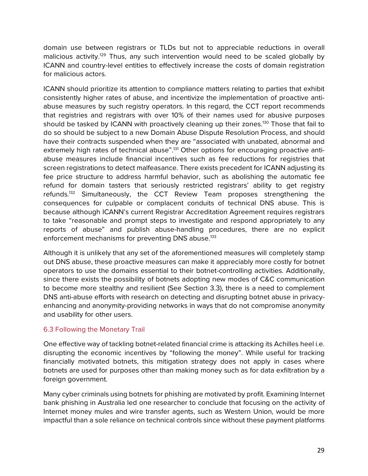domain use between registrars or TLDs but not to appreciable reductions in overall malicious activity.<sup>129</sup> Thus, any such intervention would need to be scaled globally by ICANN and country-level entities to effectively increase the costs of domain registration for malicious actors.

ICANN should prioritize its attention to compliance matters relating to parties that exhibit consistently higher rates of abuse, and incentivize the implementation of proactive antiabuse measures by such registry operators. In this regard, the CCT report recommends that registries and registrars with over 10% of their names used for abusive purposes should be tasked by ICANN with proactively cleaning up their zones.<sup>130</sup> Those that fail to do so should be subject to a new Domain Abuse Dispute Resolution Process, and should have their contracts suspended when they are "associated with unabated, abnormal and extremely high rates of technical abuse".<sup>131</sup> Other options for encouraging proactive antiabuse measures include financial incentives such as fee reductions for registries that screen registrations to detect malfeasance. There exists precedent for ICANN adjusting its fee price structure to address harmful behavior, such as abolishing the automatic fee refund for domain tasters that seriously restricted registrars' ability to get registry refunds.132 Simultaneously, the CCT Review Team proposes strengthening the consequences for culpable or complacent conduits of technical DNS abuse. This is because although ICANN's current Registrar Accreditation Agreement requires registrars to take "reasonable and prompt steps to investigate and respond appropriately to any reports of abuse" and publish abuse-handling procedures, there are no explicit enforcement mechanisms for preventing DNS abuse.<sup>133</sup>

Although it is unlikely that any set of the aforementioned measures will completely stamp out DNS abuse, these proactive measures can make it appreciably more costly for botnet operators to use the domains essential to their botnet-controlling activities. Additionally, since there exists the possibility of botnets adopting new modes of C&C communication to become more stealthy and resilient (See Section 3.3), there is a need to complement DNS anti-abuse efforts with research on detecting and disrupting botnet abuse in privacyenhancing and anonymity-providing networks in ways that do not compromise anonymity and usability for other users.

# 6.3 Following the Monetary Trail

One effective way of tackling botnet-related financial crime is attacking its Achilles heel i.e. disrupting the economic incentives by "following the money". While useful for tracking financially motivated botnets, this mitigation strategy does not apply in cases where botnets are used for purposes other than making money such as for data exfiltration by a foreign government.

Many cyber criminals using botnets for phishing are motivated by profit. Examining Internet bank phishing in Australia led one researcher to conclude that focusing on the activity of Internet money mules and wire transfer agents, such as Western Union, would be more impactful than a sole reliance on technical controls since without these payment platforms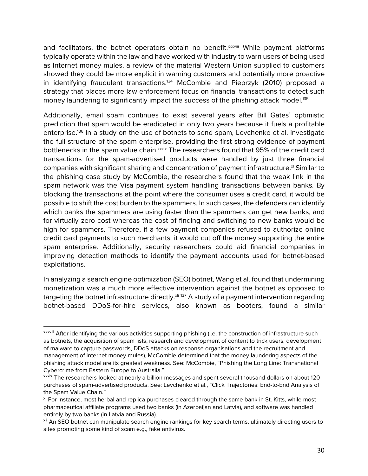and facilitators, the botnet operators obtain no benefit.<sup>xxxviii</sup> While payment platforms typically operate within the law and have worked with industry to warn users of being used as Internet money mules, a review of the material Western Union supplied to customers showed they could be more explicit in warning customers and potentially more proactive in identifying fraudulent transactions.<sup>134</sup> McCombie and Pieprzyk (2010) proposed a strategy that places more law enforcement focus on financial transactions to detect such money laundering to significantly impact the success of the phishing attack model.<sup>135</sup>

Additionally, email spam continues to exist several years after Bill Gates' optimistic prediction that spam would be eradicated in only two years because it fuels a profitable enterprise.136 In a study on the use of botnets to send spam, Levchenko et al. investigate the full structure of the spam enterprise, providing the first strong evidence of payment bottlenecks in the spam value chain.<sup>xxxix</sup> The researchers found that 95% of the credit card transactions for the spam-advertised products were handled by just three financial companies with significant sharing and concentration of payment infrastructure.<sup>xl</sup> Similar to the phishing case study by McCombie, the researchers found that the weak link in the spam network was the Visa payment system handling transactions between banks. By blocking the transactions at the point where the consumer uses a credit card, it would be possible to shift the cost burden to the spammers. In such cases, the defenders can identify which banks the spammers are using faster than the spammers can get new banks, and for virtually zero cost whereas the cost of finding and switching to new banks would be high for spammers. Therefore, if a few payment companies refused to authorize online credit card payments to such merchants, it would cut off the money supporting the entire spam enterprise. Additionally, security researchers could aid financial companies in improving detection methods to identify the payment accounts used for botnet-based exploitations.

In analyzing a search engine optimization (SEO) botnet, Wang et al. found that undermining monetization was a much more effective intervention against the botnet as opposed to targeting the botnet infrastructure directly.<sup>xli 137</sup> A study of a payment intervention regarding botnet-based DDoS-for-hire services, also known as booters, found a similar

xxxviii After identifying the various activities supporting phishing (i.e. the construction of infrastructure such as botnets, the acquisition of spam lists, research and development of content to trick users, development of malware to capture passwords, DDoS attacks on response organisations and the recruitment and management of Internet money mules), McCombie determined that the money laundering aspects of the phishing attack model are its greatest weakness. See: McCombie, "Phishing the Long Line: Transnational Cybercrime from Eastern Europe to Australia."

xxxix The researchers looked at nearly a billion messages and spent several thousand dollars on about 120 purchases of spam-advertised products. See: Levchenko et al., "Click Trajectories: End-to-End Analysis of the Spam Value Chain."

<sup>&</sup>lt;sup>xl</sup> For instance, most herbal and replica purchases cleared through the same bank in St. Kitts, while most pharmaceutical affiliate programs used two banks (in Azerbaijan and Latvia), and software was handled entirely by two banks (in Latvia and Russia).

<sup>&</sup>lt;sup>xli</sup> An SEO botnet can manipulate search engine rankings for key search terms, ultimately directing users to sites promoting some kind of scam e.g., fake antivirus.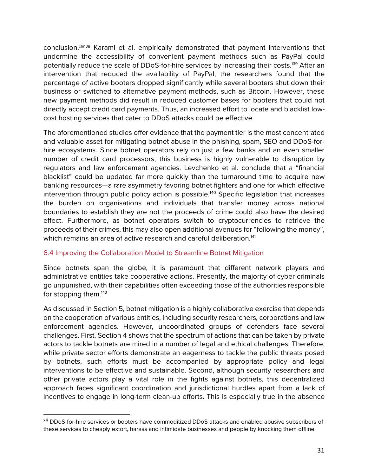conclusion.<sup>xlii138</sup> Karami et al. empirically demonstrated that payment interventions that undermine the accessibility of convenient payment methods such as PayPal could potentially reduce the scale of DDoS-for-hire services by increasing their costs.<sup>139</sup> After an intervention that reduced the availability of PayPal, the researchers found that the percentage of active booters dropped significantly while several booters shut down their business or switched to alternative payment methods, such as Bitcoin. However, these new payment methods did result in reduced customer bases for booters that could not directly accept credit card payments. Thus, an increased effort to locate and blacklist lowcost hosting services that cater to DDoS attacks could be effective.

The aforementioned studies offer evidence that the payment tier is the most concentrated and valuable asset for mitigating botnet abuse in the phishing, spam, SEO and DDoS-forhire ecosystems. Since botnet operators rely on just a few banks and an even smaller number of credit card processors, this business is highly vulnerable to disruption by regulators and law enforcement agencies. Levchenko et al. conclude that a "financial blacklist" could be updated far more quickly than the turnaround time to acquire new banking resources—a rare asymmetry favoring botnet fighters and one for which effective intervention through public policy action is possible.<sup>140</sup> Specific legislation that increases the burden on organisations and individuals that transfer money across national boundaries to establish they are not the proceeds of crime could also have the desired effect. Furthermore, as botnet operators switch to cryptocurrencies to retrieve the proceeds of their crimes, this may also open additional avenues for "following the money", which remains an area of active research and careful deliberation.<sup>141</sup>

# 6.4 Improving the Collaboration Model to Streamline Botnet Mitigation

 $\overline{a}$ 

Since botnets span the globe, it is paramount that different network players and administrative entities take cooperative actions. Presently, the majority of cyber criminals go unpunished, with their capabilities often exceeding those of the authorities responsible for stopping them.<sup>142</sup>

As discussed in Section 5, botnet mitigation is a highly collaborative exercise that depends on the cooperation of various entities, including security researchers, corporations and law enforcement agencies. However, uncoordinated groups of defenders face several challenges. First, Section 4 shows that the spectrum of actions that can be taken by private actors to tackle botnets are mired in a number of legal and ethical challenges. Therefore, while private sector efforts demonstrate an eagerness to tackle the public threats posed by botnets, such efforts must be accompanied by appropriate policy and legal interventions to be effective and sustainable. Second, although security researchers and other private actors play a vital role in the fights against botnets, this decentralized approach faces significant coordination and jurisdictional hurdles apart from a lack of incentives to engage in long-term clean-up efforts. This is especially true in the absence

xlii DDoS-for-hire services or booters have commoditized DDoS attacks and enabled abusive subscribers of these services to cheaply extort, harass and intimidate businesses and people by knocking them offline.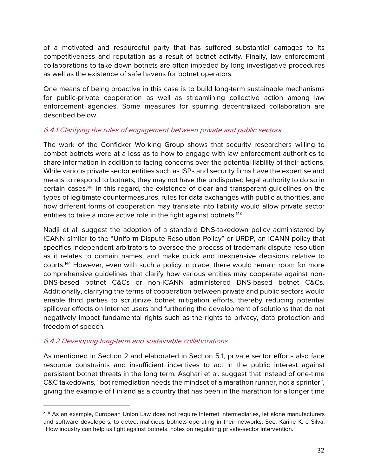of a motivated and resourceful party that has suffered substantial damages to its competitiveness and reputation as a result of botnet activity. Finally, law enforcement collaborations to take down botnets are often impeded by long investigative procedures as well as the existence of safe havens for botnet operators.

One means of being proactive in this case is to build long-term sustainable mechanisms for public-private cooperation as well as streamlining collective action among law enforcement agencies. Some measures for spurring decentralized collaboration are described below.

# 6.4.1 Clarifying the rules of engagement between private and public sectors

The work of the Conficker Working Group shows that security researchers willing to combat botnets were at a loss as to how to engage with law enforcement authorities to share information in addition to facing concerns over the potential liability of their actions. While various private sector entities such as ISPs and security firms have the expertise and means to respond to botnets, they may not have the undisputed legal authority to do so in certain cases.<sup>xliii</sup> In this regard, the existence of clear and transparent guidelines on the types of legitimate countermeasures, rules for data exchanges with public authorities, and how different forms of cooperation may translate into liability would allow private sector entities to take a more active role in the fight against botnets.<sup>143</sup>

Nadji et al. suggest the adoption of a standard DNS-takedown policy administered by ICANN similar to the "Uniform Dispute Resolution Policy" or URDP, an ICANN policy that specifies independent arbitrators to oversee the process of trademark dispute resolution as it relates to domain names, and make quick and inexpensive decisions relative to courts.144 However, even with such a policy in place, there would remain room for more comprehensive guidelines that clarify how various entities may cooperate against non-DNS-based botnet C&Cs or non-ICANN administered DNS-based botnet C&Cs. Additionally, clarifying the terms of cooperation between private and public sectors would enable third parties to scrutinize botnet mitigation efforts, thereby reducing potential spillover effects on Internet users and furthering the development of solutions that do not negatively impact fundamental rights such as the rights to privacy, data protection and freedom of speech.

# 6.4.2 Developing long-term and sustainable collaborations

As mentioned in Section 2 and elaborated in Section 5.1, private sector efforts also face resource constraints and insufficient incentives to act in the public interest against persistent botnet threats in the long term. Asghari et al. suggest that instead of one-time C&C takedowns, "bot remediation needs the mindset of a marathon runner, not a sprinter", giving the example of Finland as a country that has been in the marathon for a longer time

xliii As an example, European Union Law does not require Internet intermediaries, let alone manufacturers and software developers, to detect malicious botnets operating in their networks. See: Karine K. e Silva, "How industry can help us fight against botnets: notes on regulating private-sector intervention."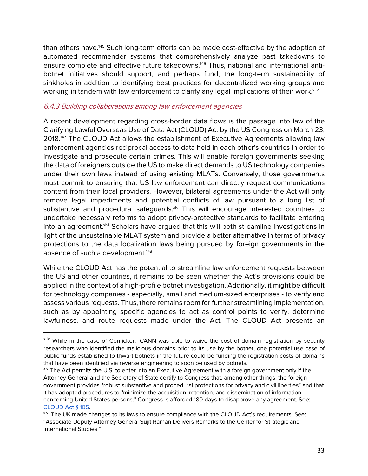than others have.145 Such long-term efforts can be made cost-effective by the adoption of automated recommender systems that comprehensively analyze past takedowns to ensure complete and effective future takedowns.<sup>146</sup> Thus, national and international antibotnet initiatives should support, and perhaps fund, the long-term sustainability of sinkholes in addition to identifying best practices for decentralized working groups and working in tandem with law enforcement to clarify any legal implications of their work. Xiiv

# 6.4.3 Building collaborations among law enforcement agencies

A recent development regarding cross-border data flows is the passage into law of the Clarifying Lawful Overseas Use of Data Act (CLOUD) Act by the US Congress on March 23, 2018.147 The CLOUD Act allows the establishment of Executive Agreements allowing law enforcement agencies reciprocal access to data held in each other's countries in order to investigate and prosecute certain crimes. This will enable foreign governments seeking the data of foreigners outside the US to make direct demands to US technology companies under their own laws instead of using existing MLATs. Conversely, those governments must commit to ensuring that US law enforcement can directly request communications content from their local providers. However, bilateral agreements under the Act will only remove legal impediments and potential conflicts of law pursuant to a long list of substantive and procedural safeguards.<sup>xlv</sup> This will encourage interested countries to undertake necessary reforms to adopt privacy-protective standards to facilitate entering into an agreement.<sup>xlvi</sup> Scholars have argued that this will both streamline investigations in light of the unsustainable MLAT system and provide a better alternative in terms of privacy protections to the data localization laws being pursued by foreign governments in the absence of such a development.<sup>148</sup>

While the CLOUD Act has the potential to streamline law enforcement requests between the US and other countries, it remains to be seen whether the Act's provisions could be applied in the context of a high-profile botnet investigation. Additionally, it might be difficult for technology companies - especially, small and medium-sized enterprises - to verify and assess various requests. Thus, there remains room for further streamlining implementation, such as by appointing specific agencies to act as control points to verify, determine lawfulness, and route requests made under the Act. The CLOUD Act presents an

xliv While in the case of Conficker, ICANN was able to waive the cost of domain registration by security researchers who identified the malicious domains prior to its use by the botnet, one potential use case of public funds established to thwart botnets in the future could be funding the registration costs of domains that have been identified via reverse engineering to soon be used by botnets.

x<sup>lv</sup> The Act permits the U.S. to enter into an Executive Agreement with a foreign government only if the Attorney General and the Secretary of State certify to Congress that, among other things, the foreign government provides "robust substantive and procedural protections for privacy and civil liberties" and that it has adopted procedures to "minimize the acquisition, retention, and dissemination of information concerning United States persons." Congress is afforded 180 days to disapprove any agreement. See: CLOUD Act § 105.

xlvi The UK made changes to its laws to ensure compliance with the CLOUD Act's requirements. See: "Associate Deputy Attorney General Sujit Raman Delivers Remarks to the Center for Strategic and International Studies."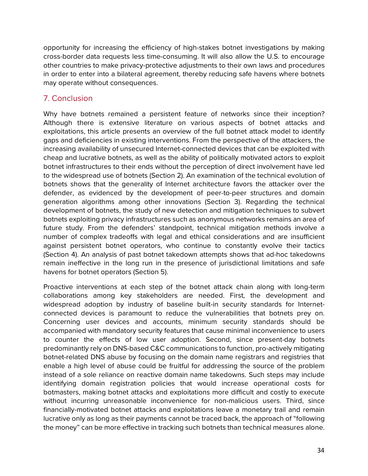opportunity for increasing the efficiency of high-stakes botnet investigations by making cross-border data requests less time-consuming. It will also allow the U.S. to encourage other countries to make privacy-protective adjustments to their own laws and procedures in order to enter into a bilateral agreement, thereby reducing safe havens where botnets may operate without consequences.

# 7. Conclusion

Why have botnets remained a persistent feature of networks since their inception? Although there is extensive literature on various aspects of botnet attacks and exploitations, this article presents an overview of the full botnet attack model to identify gaps and deficiencies in existing interventions. From the perspective of the attackers, the increasing availability of unsecured Internet-connected devices that can be exploited with cheap and lucrative botnets, as well as the ability of politically motivated actors to exploit botnet infrastructures to their ends without the perception of direct involvement have led to the widespread use of botnets (Section 2). An examination of the technical evolution of botnets shows that the generality of Internet architecture favors the attacker over the defender, as evidenced by the development of peer-to-peer structures and domain generation algorithms among other innovations (Section 3). Regarding the technical development of botnets, the study of new detection and mitigation techniques to subvert botnets exploiting privacy infrastructures such as anonymous networks remains an area of future study. From the defenders' standpoint, technical mitigation methods involve a number of complex tradeoffs with legal and ethical considerations and are insufficient against persistent botnet operators, who continue to constantly evolve their tactics (Section 4). An analysis of past botnet takedown attempts shows that ad-hoc takedowns remain ineffective in the long run in the presence of jurisdictional limitations and safe havens for botnet operators (Section 5).

Proactive interventions at each step of the botnet attack chain along with long-term collaborations among key stakeholders are needed. First, the development and widespread adoption by industry of baseline built-in security standards for Internetconnected devices is paramount to reduce the vulnerabilities that botnets prey on. Concerning user devices and accounts, minimum security standards should be accompanied with mandatory security features that cause minimal inconvenience to users to counter the effects of low user adoption. Second, since present-day botnets predominantly rely on DNS-based C&C communications to function, pro-actively mitigating botnet-related DNS abuse by focusing on the domain name registrars and registries that enable a high level of abuse could be fruitful for addressing the source of the problem instead of a sole reliance on reactive domain name takedowns. Such steps may include identifying domain registration policies that would increase operational costs for botmasters, making botnet attacks and exploitations more difficult and costly to execute without incurring unreasonable inconvenience for non-malicious users. Third, since financially-motivated botnet attacks and exploitations leave a monetary trail and remain lucrative only as long as their payments cannot be traced back, the approach of "following the money" can be more effective in tracking such botnets than technical measures alone.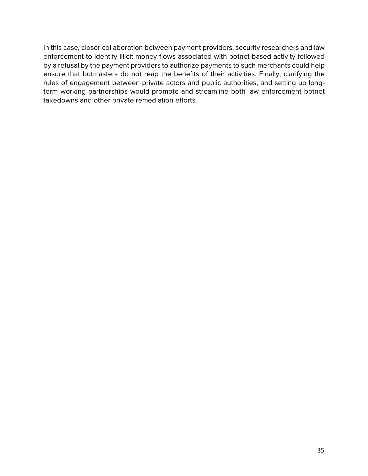In this case, closer collaboration between payment providers, security researchers and law enforcement to identify illicit money flows associated with botnet-based activity followed by a refusal by the payment providers to authorize payments to such merchants could help ensure that botmasters do not reap the benefits of their activities. Finally, clarifying the rules of engagement between private actors and public authorities, and setting up longterm working partnerships would promote and streamline both law enforcement botnet takedowns and other private remediation efforts.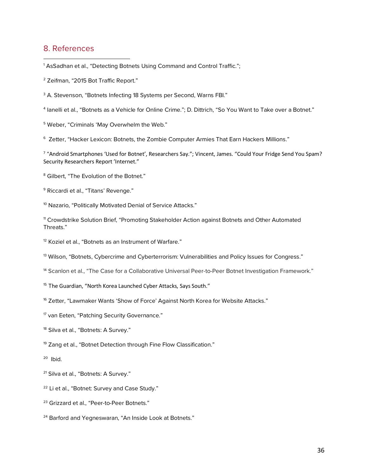# 8. References

 $\overline{a}$ 

 $^{\rm 1}$  AsSadhan et al., "Detecting Botnets Using Command and Control Traffic.";

- <sup>2</sup> Zeifman, "2015 Bot Traffic Report."
- <sup>3</sup> A. Stevenson, "Botnets Infecting 18 Systems per Second, Warns FBI."

<sup>4</sup> Ianelli et al., "Botnets as a Vehicle for Online Crime."; D. Dittrich, "So You Want to Take over a Botnet."

<sup>5</sup> Weber, "Criminals 'May Overwhelm the Web."

<sup>6</sup> Zetter, "Hacker Lexicon: Botnets, the Zombie Computer Armies That Earn Hackers Millions."

<sup>7</sup> "Android Smartphones 'Used for Botnet', Researchers Say."; Vincent, James. "Could Your Fridge Send You Spam? Security Researchers Report 'Internet."

- <sup>8</sup> Gilbert, "The Evolution of the Botnet."
- <sup>9</sup> Riccardi et al., "Titans' Revenge."
- <sup>10</sup> Nazario, "Politically Motivated Denial of Service Attacks."

<sup>11</sup> Crowdstrike Solution Brief, "Promoting Stakeholder Action against Botnets and Other Automated Threats."

<sup>12</sup> Koziel et al., "Botnets as an Instrument of Warfare."

<sup>13</sup> Wilson, "Botnets, Cybercrime and Cyberterrorism: Vulnerabilities and Policy Issues for Congress."

- <sup>14</sup> Scanlon et al., "The Case for a Collaborative Universal Peer-to-Peer Botnet Investigation Framework."
- <sup>15</sup> The Guardian, "North Korea Launched Cyber Attacks, Says South."
- <sup>16</sup> Zetter, "Lawmaker Wants 'Show of Force' Against North Korea for Website Attacks."
- <sup>17</sup> van Eeten, "Patching Security Governance."
- <sup>18</sup> Silva et al., "Botnets: A Survey."
- <sup>19</sup> Zang et al., "Botnet Detection through Fine Flow Classification."
- 20 Ibid.
- <sup>21</sup> Silva et al., "Botnets: A Survey."
- <sup>22</sup> Li et al., "Botnet: Survey and Case Study."
- <sup>23</sup> Grizzard et al., "Peer-to-Peer Botnets."
- <sup>24</sup> Barford and Yegneswaran, "An Inside Look at Botnets."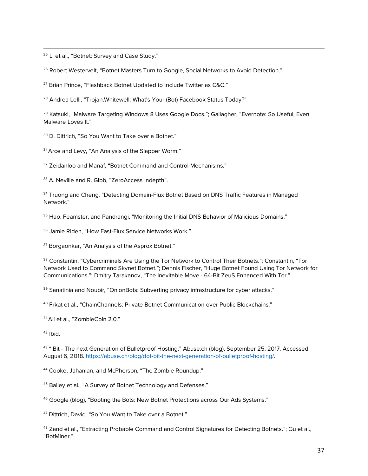<sup>25</sup> Li et al., "Botnet: Survey and Case Study."

 $\overline{a}$ 

<sup>26</sup> Robert Westervelt, "Botnet Masters Turn to Google, Social Networks to Avoid Detection."

<sup>27</sup> Brian Prince, "Flashback Botnet Updated to Include Twitter as C&C."

<sup>28</sup> Andrea Lelli, "Trojan.Whitewell: What's Your (Bot) Facebook Status Today?"

<sup>29</sup> Katsuki, "Malware Targeting Windows 8 Uses Google Docs."; Gallagher, "Evernote: So Useful, Even Malware Loves It."

<sup>30</sup> D. Dittrich, "So You Want to Take over a Botnet."

<sup>31</sup> Arce and Levy, "An Analysis of the Slapper Worm."

<sup>32</sup> Zeidanloo and Manaf, "Botnet Command and Control Mechanisms."

33 A. Neville and R. Gibb, "ZeroAccess Indepth".

<sup>34</sup> Truong and Cheng, "Detecting Domain-Flux Botnet Based on DNS Traffic Features in Managed Network."

<sup>35</sup> Hao, Feamster, and Pandrangi, "Monitoring the Initial DNS Behavior of Malicious Domains."

<sup>36</sup> Jamie Riden, "How Fast-Flux Service Networks Work."

<sup>37</sup> Borgaonkar, "An Analysis of the Asprox Botnet."

38 Constantin, "Cybercriminals Are Using the Tor Network to Control Their Botnets."; Constantin, "Tor Network Used to Command Skynet Botnet."; Dennis Fischer, "Huge Botnet Found Using Tor Network for Communications."; Dmitry Tarakanov, "The Inevitable Move - 64-Bit ZeuS Enhanced With Tor."

<sup>39</sup> Sanatinia and Noubir, "OnionBots: Subverting privacy infrastructure for cyber attacks."

<sup>40</sup> Frkat et al., "ChainChannels: Private Botnet Communication over Public Blockchains."

<sup>41</sup> Ali et al., "ZombieCoin 2.0."

 $42$  Ibid.

43 ".Bit - The next Generation of Bulletproof Hosting." Abuse.ch (blog), September 25, 2017. Accessed August 6, 2018. https://abuse.ch/blog/dot-bit-the-next-generation-of-bulletproof-hosting/.

<sup>44</sup> Cooke, Jahanian, and McPherson, "The Zombie Roundup."

<sup>45</sup> Bailey et al., "A Survey of Botnet Technology and Defenses."

<sup>46</sup> Google (blog), "Booting the Bots: New Botnet Protections across Our Ads Systems."

<sup>47</sup> Dittrich, David. "So You Want to Take over a Botnet."

48 Zand et al., "Extracting Probable Command and Control Signatures for Detecting Botnets."; Gu et al., "BotMiner."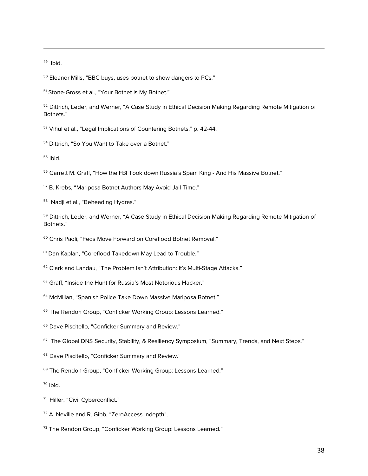49 Ibid.

 $\overline{a}$ 

<sup>50</sup> Eleanor Mills, "BBC buys, uses botnet to show dangers to PCs."

<sup>51</sup> Stone-Gross et al., "Your Botnet Is My Botnet."

<sup>52</sup> Dittrich, Leder, and Werner, "A Case Study in Ethical Decision Making Regarding Remote Mitigation of Botnets."

<sup>53</sup> Vihul et al., "Legal Implications of Countering Botnets." p. 42-44.

<sup>54</sup> Dittrich, "So You Want to Take over a Botnet."

<sup>55</sup> Ibid.

<sup>56</sup> Garrett M. Graff, "How the FBI Took down Russia's Spam King - And His Massive Botnet."

<sup>57</sup> B. Krebs, "Mariposa Botnet Authors May Avoid Jail Time."

<sup>58</sup> Nadji et al., "Beheading Hydras."

<sup>59</sup> Dittrich, Leder, and Werner, "A Case Study in Ethical Decision Making Regarding Remote Mitigation of Botnets."

<sup>60</sup> Chris Paoli, "Feds Move Forward on Coreflood Botnet Removal."

<sup>61</sup> Dan Kaplan, "Coreflood Takedown May Lead to Trouble."

<sup>62</sup> Clark and Landau, "The Problem Isn't Attribution: It's Multi-Stage Attacks."

<sup>63</sup> Graff, "Inside the Hunt for Russia's Most Notorious Hacker."

<sup>64</sup> McMillan, "Spanish Police Take Down Massive Mariposa Botnet."

<sup>65</sup> The Rendon Group, "Conficker Working Group: Lessons Learned."

<sup>66</sup> Dave Piscitello, "Conficker Summary and Review."

<sup>67</sup> The Global DNS Security, Stability, & Resiliency Symposium, "Summary, Trends, and Next Steps."

<sup>68</sup> Dave Piscitello, "Conficker Summary and Review."

<sup>69</sup> The Rendon Group, "Conficker Working Group: Lessons Learned."

 $70$  Ibid.

71 Hiller, "Civil Cyberconflict."

<sup>72</sup> A. Neville and R. Gibb, "ZeroAccess Indepth".

73 The Rendon Group, "Conficker Working Group: Lessons Learned."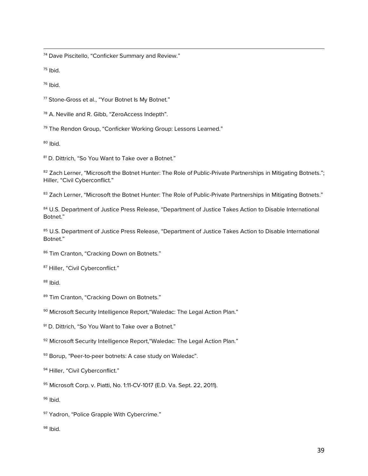$\overline{a}$ <sup>74</sup> Dave Piscitello, "Conficker Summary and Review."

<sup>75</sup> Ibid.

 $76$  Ibid.

<sup>77</sup> Stone-Gross et al., "Your Botnet Is My Botnet."

<sup>78</sup> A. Neville and R. Gibb, "ZeroAccess Indepth".

79 The Rendon Group, "Conficker Working Group: Lessons Learned."

 $B<sup>80</sup>$  Ibid.

81 D. Dittrich, "So You Want to Take over a Botnet."

82 Zach Lerner, "Microsoft the Botnet Hunter: The Role of Public-Private Partnerships in Mitigating Botnets."; Hiller, "Civil Cyberconflict."

83 Zach Lerner, "Microsoft the Botnet Hunter: The Role of Public-Private Partnerships in Mitigating Botnets."

84 U.S. Department of Justice Press Release, "Department of Justice Takes Action to Disable International Botnet."

85 U.S. Department of Justice Press Release, "Department of Justice Takes Action to Disable International Botnet."

86 Tim Cranton, "Cracking Down on Botnets."

87 Hiller, "Civil Cyberconflict."

 $88$  Ibid.

89 Tim Cranton, "Cracking Down on Botnets."

90 Microsoft Security Intelligence Report, "Waledac: The Legal Action Plan."

<sup>91</sup> D. Dittrich, "So You Want to Take over a Botnet."

92 Microsoft Security Intelligence Report, "Waledac: The Legal Action Plan."

93 Borup, "Peer-to-peer botnets: A case study on Waledac".

94 Hiller, "Civil Cyberconflict."

95 Microsoft Corp. v. Piatti, No. 1:11-CV-1017 (E.D. Va. Sept. 22, 2011).

<sup>96</sup> Ibid.

97 Yadron, "Police Grapple With Cybercrime."

 $98$  Ibid.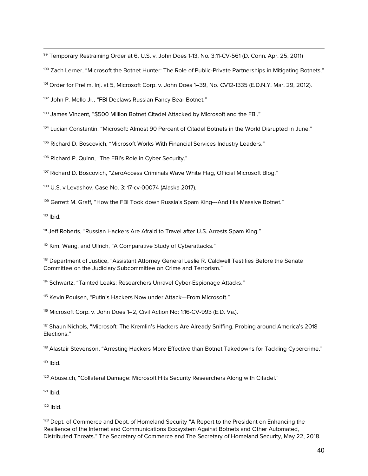99 Temporary Restraining Order at 6, U.S. v. John Does 1-13, No. 3:11-CV-561 (D. Conn. Apr. 25, 2011)

<sup>100</sup> Zach Lerner, "Microsoft the Botnet Hunter: The Role of Public-Private Partnerships in Mitigating Botnets."

<sup>101</sup> Order for Prelim. Inj. at 5, Microsoft Corp. v. John Does 1–39, No. CV12-1335 (E.D.N.Y. Mar. 29, 2012).

102 John P. Mello Jr., "FBI Declaws Russian Fancy Bear Botnet."

<sup>103</sup> James Vincent, "\$500 Million Botnet Citadel Attacked by Microsoft and the FBI."

104 Lucian Constantin, "Microsoft: Almost 90 Percent of Citadel Botnets in the World Disrupted in June."

<sup>105</sup> Richard D. Boscovich, "Microsoft Works With Financial Services Industry Leaders."

106 Richard P. Quinn, "The FBI's Role in Cyber Security."

<sup>107</sup> Richard D. Boscovich, "ZeroAccess Criminals Wave White Flag, Official Microsoft Blog."

<sup>108</sup> U.S. v Levashov, Case No. 3: 17-cv-00074 (Alaska 2017).

<sup>109</sup> Garrett M. Graff, "How the FBI Took down Russia's Spam King---And His Massive Botnet."

 $110$  Ibid.

 $\overline{a}$ 

<sup>111</sup> Jeff Roberts, "Russian Hackers Are Afraid to Travel after U.S. Arrests Spam King."

<sup>112</sup> Kim, Wang, and Ullrich, "A Comparative Study of Cyberattacks."

<sup>113</sup> Department of Justice, "Assistant Attorney General Leslie R. Caldwell Testifies Before the Senate Committee on the Judiciary Subcommittee on Crime and Terrorism."

<sup>114</sup> Schwartz, "Tainted Leaks: Researchers Unravel Cyber-Espionage Attacks."

<sup>115</sup> Kevin Poulsen, "Putin's Hackers Now under Attack-From Microsoft."

116 Microsoft Corp. v. John Does 1-2, Civil Action No: 1:16-CV-993 (E.D. Va.).

<sup>117</sup> Shaun Nichols, "Microsoft: The Kremlin's Hackers Are Already Sniffing, Probing around America's 2018 Elections."

<sup>118</sup> Alastair Stevenson, "Arresting Hackers More Effective than Botnet Takedowns for Tackling Cybercrime."

 $119$  Ibid.

<sup>120</sup> Abuse.ch, "Collateral Damage: Microsoft Hits Security Researchers Along with Citadel."

 $121$  Ibid.

 $122$  Ibid.

<sup>123</sup> Dept. of Commerce and Dept. of Homeland Security "A Report to the President on Enhancing the Resilience of the Internet and Communications Ecosystem Against Botnets and Other Automated, Distributed Threats." The Secretary of Commerce and The Secretary of Homeland Security, May 22, 2018.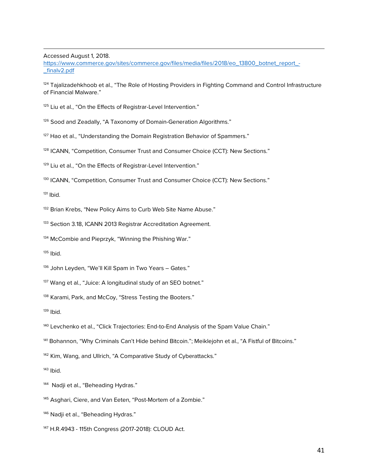Accessed August 1, 2018.

 $\overline{a}$ 

https://www.commerce.gov/sites/commerce.gov/files/media/files/2018/eo\_13800\_botnet\_report\_- \_finalv2.pdf

<sup>124</sup> Tajalizadehkhoob et al., "The Role of Hosting Providers in Fighting Command and Control Infrastructure of Financial Malware."

<sup>125</sup> Liu et al., "On the Effects of Registrar-Level Intervention."

126 Sood and Zeadally, "A Taxonomy of Domain-Generation Algorithms."

<sup>127</sup> Hao et al., "Understanding the Domain Registration Behavior of Spammers."

<sup>128</sup> ICANN, "Competition, Consumer Trust and Consumer Choice (CCT): New Sections."

<sup>129</sup> Liu et al., "On the Effects of Registrar-Level Intervention."

<sup>130</sup> ICANN, "Competition, Consumer Trust and Consumer Choice (CCT): New Sections."

 $131$  Ibid.

<sup>132</sup> Brian Krebs, "New Policy Aims to Curb Web Site Name Abuse."

133 Section 3.18, ICANN 2013 Registrar Accreditation Agreement.

<sup>134</sup> McCombie and Pieprzyk, "Winning the Phishing War."

 $135$  Ibid.

136 John Leyden, "We'll Kill Spam in Two Years - Gates."

<sup>137</sup> Wang et al., "Juice: A longitudinal study of an SEO botnet."

<sup>138</sup> Karami, Park, and McCoy, "Stress Testing the Booters."

 $139$  Ibid.

<sup>140</sup> Levchenko et al., "Click Trajectories: End-to-End Analysis of the Spam Value Chain."

<sup>141</sup> Bohannon, "Why Criminals Can't Hide behind Bitcoin."; Meiklejohn et al., "A Fistful of Bitcoins."

<sup>142</sup> Kim, Wang, and Ullrich, "A Comparative Study of Cyberattacks."

<sup>143</sup> Ibid.

<sup>144</sup> Nadii et al., "Beheading Hydras."

<sup>145</sup> Asghari, Ciere, and Van Eeten, "Post-Mortem of a Zombie."

<sup>146</sup> Nadji et al., "Beheading Hydras."

<sup>147</sup> H.R.4943 - 115th Congress (2017-2018): CLOUD Act.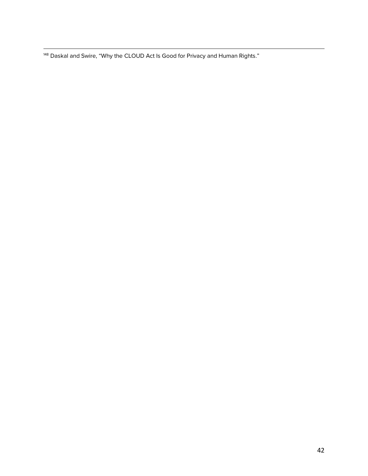$\overline{a}$  $^{448}$  Daskal and Swire, "Why the CLOUD Act Is Good for Privacy and Human Rights."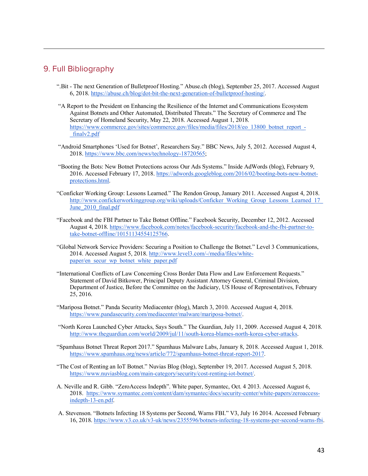#### 9. Full Bibliography

- ".Bit The next Generation of Bulletproof Hosting." Abuse.ch (blog), September 25, 2017. Accessed August 6, 2018. https://abuse.ch/blog/dot-bit-the-next-generation-of-bulletproof-hosting/.
- "A Report to the President on Enhancing the Resilience of the Internet and Communications Ecosystem Against Botnets and Other Automated, Distributed Threats." The Secretary of Commerce and The Secretary of Homeland Security, May 22, 2018. Accessed August 1, 2018. https://www.commerce.gov/sites/commerce.gov/files/media/files/2018/eo\_13800\_botnet\_report\_-\_finalv2.pdf
- "Android Smartphones 'Used for Botnet', Researchers Say." BBC News, July 5, 2012. Accessed August 4, 2018. https://www.bbc.com/news/technology-18720565;
- "Booting the Bots: New Botnet Protections across Our Ads Systems." Inside AdWords (blog), February 9, 2016. Accessed February 17, 2018. https://adwords.googleblog.com/2016/02/booting-bots-new-botnetprotections.html.
- "Conficker Working Group: Lessons Learned." The Rendon Group, January 2011. Accessed August 4, 2018. http://www.confickerworkinggroup.org/wiki/uploads/Conficker\_Working\_Group\_Lessons\_Learned\_17\_ June 2010 final.pdf
- "Facebook and the FBI Partner to Take Botnet Offline." Facebook Security, December 12, 2012. Accessed August 4, 2018. https://www.facebook.com/notes/facebook-security/facebook-and-the-fbi-partner-totake-botnet-offline/10151134554125766.
- "Global Network Service Providers: Securing a Position to Challenge the Botnet." Level 3 Communications, 2014. Accessed August 5, 2018. http://www.level3.com/-/media/files/whitepaper/en\_secur\_wp\_botnet\_white\_paper.pdf
- "International Conflicts of Law Concerning Cross Border Data Flow and Law Enforcement Requests." Statement of David Bitkower, Principal Deputy Assistant Attorney General, Criminal Division, Department of Justice, Before the Committee on the Judiciary, US House of Representatives, February 25, 2016.
- "Mariposa Botnet." Panda Security Mediacenter (blog), March 3, 2010. Accessed August 4, 2018. https://www.pandasecurity.com/mediacenter/malware/mariposa-botnet/.
- "North Korea Launched Cyber Attacks, Says South." The Guardian, July 11, 2009. Accessed August 4, 2018. http://www.theguardian.com/world/2009/jul/11/south-korea-blames-north-korea-cyber-attacks.
- "Spamhaus Botnet Threat Report 2017." Spamhaus Malware Labs, January 8, 2018. Accessed August 1, 2018. https://www.spamhaus.org/news/article/772/spamhaus-botnet-threat-report-2017.
- "The Cost of Renting an IoT Botnet." Nuvias Blog (blog), September 19, 2017. Accessed August 5, 2018. https://www.nuviasblog.com/main-category/security/cost-renting-iot-botnet/.
- A. Neville and R. Gibb. "ZeroAccess Indepth". White paper, Symantec, Oct. 4 2013. Accessed August 6, 2018. https://www.symantec.com/content/dam/symantec/docs/security-center/white-papers/zeroaccessindepth-13-en.pdf.
- A. Stevenson. "Botnets Infecting 18 Systems per Second, Warns FBI." V3, July 16 2014. Accessed February 16, 2018. https://www.v3.co.uk/v3-uk/news/2355596/botnets-infecting-18-systems-per-second-warns-fbi.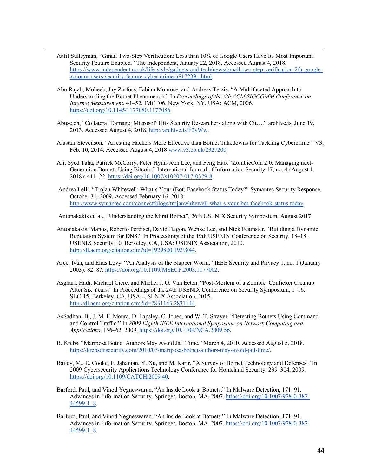Aatif Sulleyman, "Gmail Two-Step Verification: Less than 10% of Google Users Have Its Most Important Security Feature Enabled." The Independent, January 22, 2018. Accessed August 4, 2018. https://www.independent.co.uk/life-style/gadgets-and-tech/news/gmail-two-step-verification-2fa-googleaccount-users-security-feature-cyber-crime-a8172391.html.

 $\overline{a}$ 

- Abu Rajab, Moheeb, Jay Zarfoss, Fabian Monrose, and Andreas Terzis. "A Multifaceted Approach to Understanding the Botnet Phenomenon." In *Proceedings of the 6th ACM SIGCOMM Conference on Internet Measurement*, 41–52. IMC '06. New York, NY, USA: ACM, 2006. https://doi.org/10.1145/1177080.1177086.
- Abuse.ch, "Collateral Damage: Microsoft Hits Security Researchers along with Cit…." archive.is, June 19, 2013. Accessed August 4, 2018. http://archive.is/F2yWw.
- Alastair Stevenson. "Arresting Hackers More Effective than Botnet Takedowns for Tackling Cybercrime." V3, Feb. 10, 2014. Accessed August 4, 2018 www.v3.co.uk/2327200.
- Ali, Syed Taha, Patrick McCorry, Peter Hyun-Jeen Lee, and Feng Hao. "ZombieCoin 2.0: Managing next-Generation Botnets Using Bitcoin." International Journal of Information Security 17, no. 4 (August 1, 2018): 411–22. https://doi.org/10.1007/s10207-017-0379-8.
- Andrea Lelli, "Trojan.Whitewell: What's Your (Bot) Facebook Status Today?" Symantec Security Response, October 31, 2009. Accessed February 16, 2018. http://www.symantec.com/connect/blogs/trojanwhitewell-what-s-your-bot-facebook-status-today.

Antonakakis et. al., "Understanding the Mirai Botnet", 26th USENIX Security Symposium, August 2017.

- Antonakakis, Manos, Roberto Perdisci, David Dagon, Wenke Lee, and Nick Feamster. "Building a Dynamic Reputation System for DNS." In Proceedings of the 19th USENIX Conference on Security, 18–18. USENIX Security'10. Berkeley, CA, USA: USENIX Association, 2010. http://dl.acm.org/citation.cfm?id=1929820.1929844.
- Arce, Iván, and Elias Levy. "An Analysis of the Slapper Worm." IEEE Security and Privacy 1, no. 1 (January 2003): 82–87. https://doi.org/10.1109/MSECP.2003.1177002.
- Asghari, Hadi, Michael Ciere, and Michel J. G. Van Eeten. "Post-Mortem of a Zombie: Conficker Cleanup After Six Years." In Proceedings of the 24th USENIX Conference on Security Symposium, 1–16. SEC'15. Berkeley, CA, USA: USENIX Association, 2015. http://dl.acm.org/citation.cfm?id=2831143.2831144.
- AsSadhan, B., J. M. F. Moura, D. Lapsley, C. Jones, and W. T. Strayer. "Detecting Botnets Using Command and Control Traffic." In *2009 Eighth IEEE International Symposium on Network Computing and Applications*, 156–62, 2009. https://doi.org/10.1109/NCA.2009.56.
- B. Krebs. "Mariposa Botnet Authors May Avoid Jail Time." March 4, 2010. Accessed August 5, 2018. https://krebsonsecurity.com/2010/03/mariposa-botnet-authors-may-avoid-jail-time/.
- Bailey, M., E. Cooke, F. Jahanian, Y. Xu, and M. Karir. "A Survey of Botnet Technology and Defenses." In 2009 Cybersecurity Applications Technology Conference for Homeland Security, 299–304, 2009. https://doi.org/10.1109/CATCH.2009.40.
- Barford, Paul, and Vinod Yegneswaran. "An Inside Look at Botnets." In Malware Detection, 171–91. Advances in Information Security. Springer, Boston, MA, 2007. https://doi.org/10.1007/978-0-387- 44599-1\_8.
- Barford, Paul, and Vinod Yegneswaran. "An Inside Look at Botnets." In Malware Detection, 171–91. Advances in Information Security. Springer, Boston, MA, 2007. https://doi.org/10.1007/978-0-387- 44599-1\_8.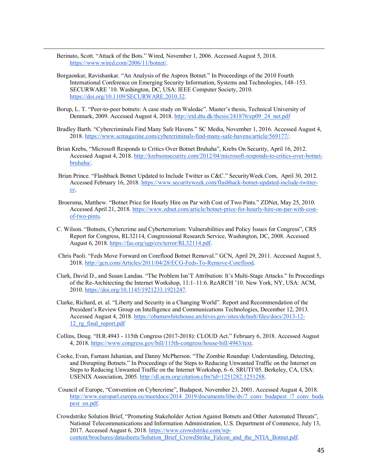Berinato, Scott. "Attack of the Bots." Wired, November 1, 2006. Accessed August 5, 2018. https://www.wired.com/2006/11/botnet/.

- Borgaonkar, Ravishankar. "An Analysis of the Asprox Botnet." In Proceedings of the 2010 Fourth International Conference on Emerging Security Information, Systems and Technologies, 148–153. SECURWARE '10. Washington, DC, USA: IEEE Computer Society, 2010. https://doi.org/10.1109/SECURWARE.2010.32.
- Borup, L. T. "Peer-to-peer botnets: A case study on Waledac". Master's thesis, Technical University of Denmark, 2009. Accessed August 4, 2018. http://etd.dtu.dk/thesis/241876/ep09\_24\_net.pdf
- Bradley Barth. "Cybercriminals Find Many Safe Havens." SC Media, November 1, 2016. Accessed August 4, 2018. https://www.scmagazine.com/cybercriminals-find-many-safe-havens/article/569177/.
- Brian Krebs, "Microsoft Responds to Critics Over Botnet Bruhaha", Krebs On Security, April 16, 2012. Accessed August 4, 2018. http://krebsonsecurity.com/2012/04/microsoft-responds-to-critics-over-botnetbruhaha/.
- Brian Prince. "Flashback Botnet Updated to Include Twitter as C&C." SecurityWeek.Com, April 30, 2012. Accessed February 16, 2018. https://www.securityweek.com/flashback-botnet-updated-include-twittercc.
- Broersma, Matthew. "Botnet Price for Hourly Hire on Par with Cost of Two Pints." ZDNet, May 25, 2010. Accessed April 21, 2018. https://www.zdnet.com/article/botnet-price-for-hourly-hire-on-par-with-costof-two-pints.
- C. Wilson. "Botnets, Cybercrime and Cyberterrorism: Vulnerabilities and Policy Issues for Congress", CRS Report for Congress, RL32114, Congressional Research Service, Washington, DC, 2008. Accessed August 6, 2018. https://fas.org/sgp/crs/terror/RL32114.pdf.
- Chris Paoli. "Feds Move Forward on Coreflood Botnet Removal." GCN, April 29, 2011. Accessed August 5, 2018. http://gcn.com/Articles/2011/04/28/ECG-Feds-To-Remove-Coreflood.
- Clark, David D., and Susan Landau. "The Problem Isn'T Attribution: It's Multi-Stage Attacks." In Proceedings of the Re-Architecting the Internet Workshop, 11:1–11:6. ReARCH '10. New York, NY, USA: ACM, 2010. https://doi.org/10.1145/1921233.1921247.
- Clarke, Richard, et. al. "Liberty and Security in a Changing World". Report and Recommendation of the President's Review Group on Intelligence and Communications Technologies, December 12, 2013. Accessed August 4, 2018. https://obamawhitehouse.archives.gov/sites/default/files/docs/2013-12- 12\_rg\_final\_report.pdf
- Collins, Doug. "H.R.4943 115th Congress (2017-2018): CLOUD Act." February 6, 2018. Accessed August 4, 2018. https://www.congress.gov/bill/115th-congress/house-bill/4943/text.
- Cooke, Evan, Farnam Jahanian, and Danny McPherson. "The Zombie Roundup: Understanding, Detecting, and Disrupting Botnets." In Proceedings of the Steps to Reducing Unwanted Traffic on the Internet on Steps to Reducing Unwanted Traffic on the Internet Workshop, 6–6. SRUTI'05. Berkeley, CA, USA: USENIX Association, 2005. http://dl.acm.org/citation.cfm?id=1251282.1251288.
- Council of Europe, "Convention on Cybercrime", Budapest, November 23, 2001. Accessed August 4, 2018. http://www.europarl.europa.eu/meetdocs/2014\_2019/documents/libe/dv/7\_conv\_budapest\_/7\_conv\_buda pest\_en.pdf.
- Crowdstrike Solution Brief, "Promoting Stakeholder Action Against Botnets and Other Automated Threats", National Telecommunications and Information Administration, U.S. Department of Commerce, July 13, 2017. Accessed August 6, 2018. https://www.crowdstrike.com/wpcontent/brochures/datasheets/Solution\_Brief\_CrowdStrike\_Falcon\_and\_the\_NTIA\_Botnet.pdf.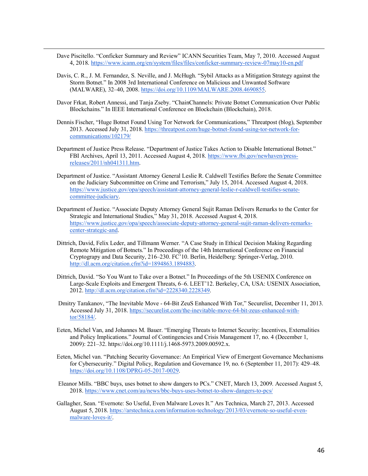Dave Piscitello. "Conficker Summary and Review" ICANN Securities Team, May 7, 2010. Accessed August 4, 2018. https://www.icann.org/en/system/files/files/conficker-summary-review-07may10-en.pdf

- Davis, C. R., J. M. Fernandez, S. Neville, and J. McHugh. "Sybil Attacks as a Mitigation Strategy against the Storm Botnet." In 2008 3rd International Conference on Malicious and Unwanted Software (MALWARE), 32–40, 2008. https://doi.org/10.1109/MALWARE.2008.4690855.
- Davor Frkat, Robert Annessi, and Tanja Zseby. "ChainChannels: Private Botnet Communication Over Public Blockchains." In IEEE International Conference on Blockchain (Blockchain), 2018.
- Dennis Fischer, "Huge Botnet Found Using Tor Network for Communications," Threatpost (blog), September 2013. Accessed July 31, 2018. https://threatpost.com/huge-botnet-found-using-tor-network-forcommunications/102179/
- Department of Justice Press Release. "Department of Justice Takes Action to Disable International Botnet." FBI Archives, April 13, 2011. Accessed August 4, 2018. https://www.fbi.gov/newhaven/pressreleases/2011/nh041311.htm.
- Department of Justice. "Assistant Attorney General Leslie R. Caldwell Testifies Before the Senate Committee on the Judiciary Subcommittee on Crime and Terrorism," July 15, 2014. Accessed August 4, 2018. https://www.justice.gov/opa/speech/assistant-attorney-general-leslie-r-caldwell-testifies-senatecommittee-judiciary.
- Department of Justice. "Associate Deputy Attorney General Sujit Raman Delivers Remarks to the Center for Strategic and International Studies," May 31, 2018. Accessed August 4, 2018. https://www.justice.gov/opa/speech/associate-deputy-attorney-general-sujit-raman-delivers-remarkscenter-strategic-and.
- Dittrich, David, Felix Leder, and Tillmann Werner. "A Case Study in Ethical Decision Making Regarding Remote Mitigation of Botnets." In Proceedings of the 14th International Conference on Financial Cryptograpy and Data Security, 216–230. FC'10. Berlin, Heidelberg: Springer-Verlag, 2010. http://dl.acm.org/citation.cfm?id=1894863.1894883.
- Dittrich, David. "So You Want to Take over a Botnet." In Proceedings of the 5th USENIX Conference on Large-Scale Exploits and Emergent Threats, 6–6. LEET'12. Berkeley, CA, USA: USENIX Association, 2012. http://dl.acm.org/citation.cfm?id=2228340.2228349.
- Dmitry Tarakanov, "The Inevitable Move 64-Bit ZeuS Enhanced With Tor," Securelist, December 11, 2013. Accessed July 31, 2018. https://securelist.com/the-inevitable-move-64-bit-zeus-enhanced-withtor/58184/.
- Eeten, Michel Van, and Johannes M. Bauer. "Emerging Threats to Internet Security: Incentives, Externalities and Policy Implications." Journal of Contingencies and Crisis Management 17, no. 4 (December 1, 2009): 221–32. https://doi.org/10.1111/j.1468-5973.2009.00592.x.
- Eeten, Michel van. "Patching Security Governance: An Empirical View of Emergent Governance Mechanisms for Cybersecurity." Digital Policy, Regulation and Governance 19, no. 6 (September 11, 2017): 429–48. https://doi.org/10.1108/DPRG-05-2017-0029.
- Eleanor Mills. "BBC buys, uses botnet to show dangers to PCs." CNET, March 13, 2009. Accessed August 5, 2018. https://www.cnet.com/au/news/bbc-buys-uses-botnet-to-show-dangers-to-pcs/
- Gallagher, Sean. "Evernote: So Useful, Even Malware Loves It." Ars Technica, March 27, 2013. Accessed August 5, 2018. https://arstechnica.com/information-technology/2013/03/evernote-so-useful-evenmalware-loves-it/.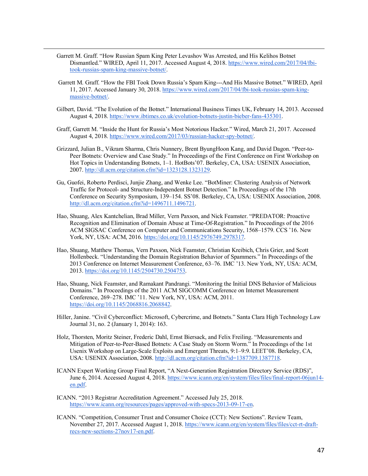Garrett M. Graff. "How Russian Spam King Peter Levashov Was Arrested, and His Kelihos Botnet Dismantled." WIRED, April 11, 2017. Accessed August 4, 2018. https://www.wired.com/2017/04/fbitook-russias-spam-king-massive-botnet/.

- Garrett M. Graff. "How the FBI Took Down Russia's Spam King---And His Massive Botnet." WIRED, April 11, 2017. Accessed January 30, 2018. https://www.wired.com/2017/04/fbi-took-russias-spam-kingmassive-botnet/.
- Gilbert, David. "The Evolution of the Botnet." International Business Times UK, February 14, 2013. Accessed August 4, 2018. https://www.ibtimes.co.uk/evolution-botnets-justin-bieber-fans-435301.
- Graff, Garrett M. "Inside the Hunt for Russia's Most Notorious Hacker." Wired, March 21, 2017. Accessed August 4, 2018. https://www.wired.com/2017/03/russian-hacker-spy-botnet/.
- Grizzard, Julian B., Vikram Sharma, Chris Nunnery, Brent ByungHoon Kang, and David Dagon. "Peer-to-Peer Botnets: Overview and Case Study." In Proceedings of the First Conference on First Workshop on Hot Topics in Understanding Botnets, 1–1. HotBots'07. Berkeley, CA, USA: USENIX Association, 2007. http://dl.acm.org/citation.cfm?id=1323128.1323129.
- Gu, Guofei, Roberto Perdisci, Junjie Zhang, and Wenke Lee. "BotMiner: Clustering Analysis of Network Traffic for Protocol- and Structure-Independent Botnet Detection." In Proceedings of the 17th Conference on Security Symposium, 139–154. SS'08. Berkeley, CA, USA: USENIX Association, 2008. http://dl.acm.org/citation.cfm?id=1496711.1496721.
- Hao, Shuang, Alex Kantchelian, Brad Miller, Vern Paxson, and Nick Feamster. "PREDATOR: Proactive Recognition and Elimination of Domain Abuse at Time-Of-Registration." In Proceedings of the 2016 ACM SIGSAC Conference on Computer and Communications Security, 1568–1579. CCS '16. New York, NY, USA: ACM, 2016. https://doi.org/10.1145/2976749.2978317.
- Hao, Shuang, Matthew Thomas, Vern Paxson, Nick Feamster, Christian Kreibich, Chris Grier, and Scott Hollenbeck. "Understanding the Domain Registration Behavior of Spammers." In Proceedings of the 2013 Conference on Internet Measurement Conference, 63–76. IMC '13. New York, NY, USA: ACM, 2013. https://doi.org/10.1145/2504730.2504753.
- Hao, Shuang, Nick Feamster, and Ramakant Pandrangi. "Monitoring the Initial DNS Behavior of Malicious Domains." In Proceedings of the 2011 ACM SIGCOMM Conference on Internet Measurement Conference, 269–278. IMC '11. New York, NY, USA: ACM, 2011. https://doi.org/10.1145/2068816.2068842.
- Hiller, Janine. "Civil Cyberconflict: Microsoft, Cybercrime, and Botnets." Santa Clara High Technology Law Journal 31, no. 2 (January 1, 2014): 163.
- Holz, Thorsten, Moritz Steiner, Frederic Dahl, Ernst Biersack, and Felix Freiling. "Measurements and Mitigation of Peer-to-Peer-Based Botnets: A Case Study on Storm Worm." In Proceedings of the 1st Usenix Workshop on Large-Scale Exploits and Emergent Threats, 9:1–9:9. LEET'08. Berkeley, CA, USA: USENIX Association, 2008. http://dl.acm.org/citation.cfm?id=1387709.1387718.
- ICANN Expert Working Group Final Report, "A Next-Generation Registration Directory Service (RDS)", June 6, 2014. Accessed August 4, 2018. https://www.icann.org/en/system/files/files/final-report-06jun14 en.pdf.
- ICANN. "2013 Registrar Accreditation Agreement." Accessed July 25, 2018. https://www.icann.org/resources/pages/approved-with-specs-2013-09-17-en.
- ICANN. "Competition, Consumer Trust and Consumer Choice (CCT): New Sections". Review Team, November 27, 2017. Accessed August 1, 2018. https://www.icann.org/en/system/files/files/cct-rt-draftrecs-new-sections-27nov17-en.pdf.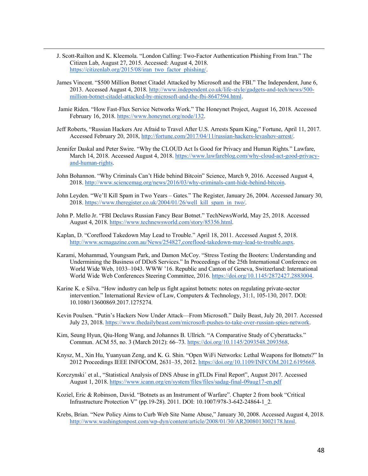J. Scott-Railton and K. Kleemola. "London Calling: Two-Factor Authentication Phishing From Iran." The Citizen Lab, August 27, 2015. Accessed: August 4, 2018. https://citizenlab.org/2015/08/iran\_two\_factor\_phishing/.

- James Vincent. "\$500 Million Botnet Citadel Attacked by Microsoft and the FBI." The Independent, June 6, 2013. Accessed August 4, 2018. http://www.independent.co.uk/life-style/gadgets-and-tech/news/500 million-botnet-citadel-attacked-by-microsoft-and-the-fbi-8647594.html.
- Jamie Riden. "How Fast-Flux Service Networks Work." The Honeynet Project, August 16, 2018. Accessed February 16, 2018. https://www.honeynet.org/node/132.
- Jeff Roberts, "Russian Hackers Are Afraid to Travel After U.S. Arrests Spam King," Fortune, April 11, 2017. Accessed February 20, 2018, http://fortune.com/2017/04/11/russian-hackers-levashov-arrest/.
- Jennifer Daskal and Peter Swire. "Why the CLOUD Act Is Good for Privacy and Human Rights." Lawfare, March 14, 2018. Accessed August 4, 2018. https://www.lawfareblog.com/why-cloud-act-good-privacyand-human-rights.
- John Bohannon. "Why Criminals Can't Hide behind Bitcoin" Science, March 9, 2016. Accessed August 4, 2018. http://www.sciencemag.org/news/2016/03/why-criminals-cant-hide-behind-bitcoin.
- John Leyden. "We'll Kill Spam in Two Years Gates." The Register, January 26, 2004. Accessed January 30, 2018. https://www.theregister.co.uk/2004/01/26/well kill\_spam\_in\_two/.
- John P. Mello Jr. "FBI Declaws Russian Fancy Bear Botnet." TechNewsWorld, May 25, 2018. Accessed August 4, 2018. https://www.technewsworld.com/story/85356.html.
- Kaplan, D. "Coreflood Takedown May Lead to Trouble." April 18, 2011. Accessed August 5, 2018. http://www.scmagazine.com.au/News/254827,coreflood-takedown-may-lead-to-trouble.aspx.
- Karami, Mohammad, Youngsam Park, and Damon McCoy. "Stress Testing the Booters: Understanding and Undermining the Business of DDoS Services." In Proceedings of the 25th International Conference on World Wide Web, 1033–1043. WWW '16. Republic and Canton of Geneva, Switzerland: International World Wide Web Conferences Steering Committee, 2016. https://doi.org/10.1145/2872427.2883004.
- Karine K. e Silva. "How industry can help us fight against botnets: notes on regulating private-sector intervention." International Review of Law, Computers & Technology, 31:1, 105-130, 2017. DOI: 10.1080/13600869.2017.1275274.
- Kevin Poulsen. "Putin's Hackers Now Under Attack—From Microsoft." Daily Beast, July 20, 2017. Accessed July 23, 2018. https://www.thedailybeast.com/microsoft-pushes-to-take-over-russian-spies-network.
- Kim, Seung Hyun, Qiu-Hong Wang, and Johannes B. Ullrich. "A Comparative Study of Cyberattacks." Commun. ACM 55, no. 3 (March 2012): 66–73. https://doi.org/10.1145/2093548.2093568.
- Knysz, M., Xin Hu, Yuanyuan Zeng, and K. G. Shin. "Open WiFi Networks: Lethal Weapons for Botnets?" In 2012 Proceedings IEEE INFOCOM, 2631–35, 2012. https://doi.org/10.1109/INFCOM.2012.6195668.
- Korczynski´ et al., "Statistical Analysis of DNS Abuse in gTLDs Final Report", August 2017. Accessed August 1, 2018. https://www.icann.org/en/system/files/files/sadag-final-09aug17-en.pdf
- Koziel, Eric & Robinson, David. "Botnets as an Instrument of Warfare". Chapter 2 from book "Critical Infrastructure Protection V" (pp.19-28). 2011. DOI: 10.1007/978-3-642-24864-1\_2.
- Krebs, Brian. "New Policy Aims to Curb Web Site Name Abuse," January 30, 2008. Accessed August 4, 2018. http://www.washingtonpost.com/wp-dyn/content/article/2008/01/30/AR2008013002178.html.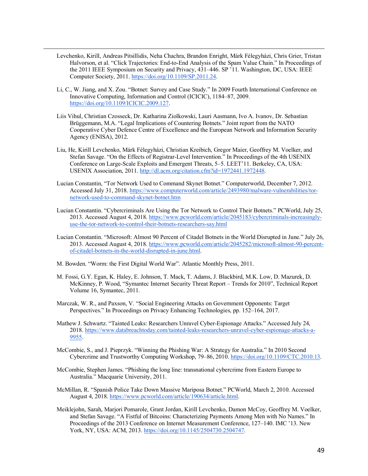Levchenko, Kirill, Andreas Pitsillidis, Neha Chachra, Brandon Enright, Márk Félegyházi, Chris Grier, Tristan Halvorson, et al. "Click Trajectories: End-to-End Analysis of the Spam Value Chain." In Proceedings of the 2011 IEEE Symposium on Security and Privacy, 431–446. SP '11. Washington, DC, USA: IEEE Computer Society, 2011. https://doi.org/10.1109/SP.2011.24.

- Li, C., W. Jiang, and X. Zou. "Botnet: Survey and Case Study." In 2009 Fourth International Conference on Innovative Computing, Information and Control (ICICIC), 1184–87, 2009. https://doi.org/10.1109/ICICIC.2009.127.
- Liis Vihul, Christian Czosseck, Dr. Katharina Ziolkowski, Lauri Aasmann, Ivo A. Ivanov, Dr. Sebastian Brüggemann, M.A. "Legal Implications of Countering Botnets." Joint report from the NATO Cooperative Cyber Defence Centre of Excellence and the European Network and Information Security Agency (ENISA), 2012.
- Liu, He, Kirill Levchenko, Márk Félegyházi, Christian Kreibich, Gregor Maier, Geoffrey M. Voelker, and Stefan Savage. "On the Effects of Registrar-Level Intervention." In Proceedings of the 4th USENIX Conference on Large-Scale Exploits and Emergent Threats, 5–5. LEET'11. Berkeley, CA, USA: USENIX Association, 2011. http://dl.acm.org/citation.cfm?id=1972441.1972448.
- Lucian Constantin, "Tor Network Used to Command Skynet Botnet." Computerworld, December 7, 2012. Accessed July 31, 2018. https://www.computerworld.com/article/2493980/malware-vulnerabilities/tornetwork-used-to-command-skynet-botnet.htm
- Lucian Constantin. "Cybercriminals Are Using the Tor Network to Control Their Botnets." PCWorld, July 25, 2013. Accessed August 4, 2018. https://www.pcworld.com/article/2045183/cybercriminals-increasinglyuse-the-tor-network-to-control-their-botnets-researchers-say.html
- Lucian Constantin. "Microsoft: Almost 90 Percent of Citadel Botnets in the World Disrupted in June." July 26, 2013. Accessed August 4, 2018. https://www.pcworld.com/article/2045282/microsoft-almost-90-percentof-citadel-botnets-in-the-world-disrupted-in-june.html.
- M. Bowden. "Worm: the First Digital World War". Atlantic Monthly Press, 2011.
- M. Fossi, G.Y. Egan, K. Haley, E. Johnson, T. Mack, T. Adams, J. Blackbird, M.K. Low, D. Mazurek, D. McKinney, P. Wood, "Symantec Internet Security Threat Report – Trends for 2010", Technical Report Volume 16, Symantec, 2011.
- Marczak, W. R., and Paxson, V. "Social Engineering Attacks on Government Opponents: Target Perspectives." In Proceedings on Privacy Enhancing Technologies, pp. 152–164, 2017.
- Mathew J. Schwartz. "Tainted Leaks: Researchers Unravel Cyber-Espionage Attacks." Accessed July 24, 2018. https://www.databreachtoday.com/tainted-leaks-researchers-unravel-cyber-espionage-attacks-a-9955.
- McCombie, S., and J. Pieprzyk. "Winning the Phishing War: A Strategy for Australia." In 2010 Second Cybercrime and Trustworthy Computing Workshop, 79–86, 2010. https://doi.org/10.1109/CTC.2010.13.
- McCombie, Stephen James. "Phishing the long line: transnational cybercrime from Eastern Europe to Australia." Macquarie University, 2011.
- McMillan, R. "Spanish Police Take Down Massive Mariposa Botnet." PCWorld, March 2, 2010. Accessed August 4, 2018. https://www.pcworld.com/article/190634/article.html.
- Meiklejohn, Sarah, Marjori Pomarole, Grant Jordan, Kirill Levchenko, Damon McCoy, Geoffrey M. Voelker, and Stefan Savage. "A Fistful of Bitcoins: Characterizing Payments Among Men with No Names." In Proceedings of the 2013 Conference on Internet Measurement Conference, 127–140. IMC '13. New York, NY, USA: ACM, 2013. https://doi.org/10.1145/2504730.2504747.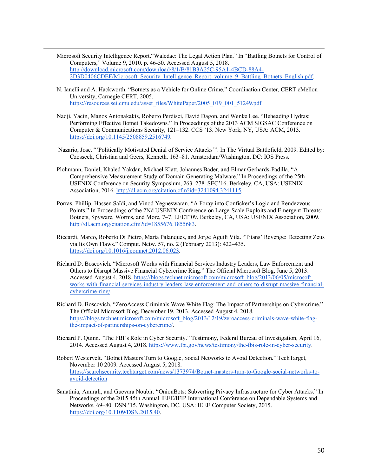Microsoft Security Intelligence Report."Waledac: The Legal Action Plan." In "Battling Botnets for Control of Computers," Volume 9, 2010. p. 46-50. Accessed August 5, 2018. http://download.microsoft.com/download/8/1/B/81B3A25C-95A1-4BCD-88A4- 2D3D0406CDEF/Microsoft\_Security\_Intelligence\_Report\_volume\_9\_Battling\_Botnets\_English.pdf.

- N. Ianelli and A. Hackworth. "Botnets as a Vehicle for Online Crime." Coordination Center, CERT cMellon University, Carnegie CERT, 2005. https://resources.sei.cmu.edu/asset\_files/WhitePaper/2005\_019\_001\_51249.pdf
- Nadji, Yacin, Manos Antonakakis, Roberto Perdisci, David Dagon, and Wenke Lee. "Beheading Hydras: Performing Effective Botnet Takedowns." In Proceedings of the 2013 ACM SIGSAC Conference on Computer & Communications Security, 121–132. CCS '13. New York, NY, USA: ACM, 2013. https://doi.org/10.1145/2508859.2516749.
- Nazario, Jose. "'Politically Motivated Denial of Service Attacks'". In The Virtual Battlefield, 2009. Edited by: Czosseck, Christian and Geers, Kenneth. 163–81. Amsterdam/Washington, DC: IOS Press.
- Plohmann, Daniel, Khaled Yakdan, Michael Klatt, Johannes Bader, and Elmar Gerhards-Padilla. "A Comprehensive Measurement Study of Domain Generating Malware." In Proceedings of the 25th USENIX Conference on Security Symposium, 263–278. SEC'16. Berkeley, CA, USA: USENIX Association, 2016. http://dl.acm.org/citation.cfm?id=3241094.3241115.
- Porras, Phillip, Hassen Saïdi, and Vinod Yegneswaran. "A Foray into Conficker's Logic and Rendezvous Points." In Proceedings of the 2Nd USENIX Conference on Large-Scale Exploits and Emergent Threats: Botnets, Spyware, Worms, and More, 7–7. LEET'09. Berkeley, CA, USA: USENIX Association, 2009. http://dl.acm.org/citation.cfm?id=1855676.1855683.
- Riccardi, Marco, Roberto Di Pietro, Marta Palanques, and Jorge Aguilí Vila. "Titans' Revenge: Detecting Zeus via Its Own Flaws." Comput. Netw. 57, no. 2 (February 2013): 422–435. https://doi.org/10.1016/j.comnet.2012.06.023.
- Richard D. Boscovich. "Microsoft Works with Financial Services Industry Leaders, Law Enforcement and Others to Disrupt Massive Financial Cybercrime Ring." The Official Microsoft Blog, June 5, 2013. Accessed August 4, 2018. https://blogs.technet.microsoft.com/microsoft\_blog/2013/06/05/microsoftworks-with-financial-services-industry-leaders-law-enforcement-and-others-to-disrupt-massive-financialcybercrime-ring/.
- Richard D. Boscovich. "ZeroAccess Criminals Wave White Flag: The Impact of Partnerships on Cybercrime." The Official Microsoft Blog, December 19, 2013. Accessed August 4, 2018. https://blogs.technet.microsoft.com/microsoft\_blog/2013/12/19/zeroaccess-criminals-wave-white-flagthe-impact-of-partnerships-on-cybercrime/.
- Richard P. Quinn. "The FBI's Role in Cyber Security." Testimony, Federal Bureau of Investigation, April 16, 2014. Accessed August 4, 2018. https://www.fbi.gov/news/testimony/the-fbis-role-in-cyber-security.
- Robert Westervelt. "Botnet Masters Turn to Google, Social Networks to Avoid Detection." TechTarget, November 10 2009. Accessed August 5, 2018. https://searchsecurity.techtarget.com/news/1373974/Botnet-masters-turn-to-Google-social-networks-toavoid-detection
- Sanatinia, Amirali, and Guevara Noubir. "OnionBots: Subverting Privacy Infrastructure for Cyber Attacks." In Proceedings of the 2015 45th Annual IEEE/IFIP International Conference on Dependable Systems and Networks, 69–80. DSN '15. Washington, DC, USA: IEEE Computer Society, 2015. https://doi.org/10.1109/DSN.2015.40.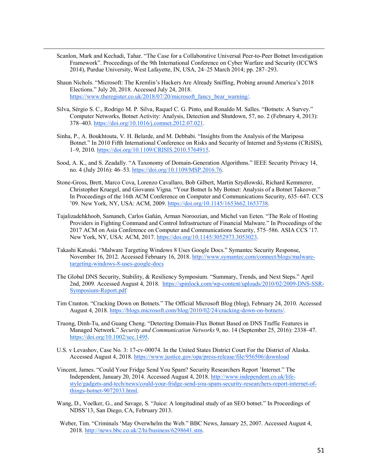Scanlon, Mark and Kechadi, Tahar. "The Case for a Collaborative Universal Peer-to-Peer Botnet Investigation Framework". Proceedings of the 9th International Conference on Cyber Warfare and Security (ICCWS 2014), Purdue University, West Lafayette, IN, USA, 24–25 March 2014; pp. 287–293.

- Shaun Nichols. "Microsoft: The Kremlin's Hackers Are Already Sniffing, Probing around America's 2018 Elections." July 20, 2018. Accessed July 24, 2018. https://www.theregister.co.uk/2018/07/20/microsoft fancy bear warning/.
- Silva, Sérgio S. C., Rodrigo M. P. Silva, Raquel C. G. Pinto, and Ronaldo M. Salles. "Botnets: A Survey." Computer Networks, Botnet Activity: Analysis, Detection and Shutdown, 57, no. 2 (February 4, 2013): 378–403. https://doi.org/10.1016/j.comnet.2012.07.021.
- Sinha, P., A. Boukhtouta, V. H. Belarde, and M. Debbabi. "Insights from the Analysis of the Mariposa Botnet." In 2010 Fifth International Conference on Risks and Security of Internet and Systems (CRiSIS), 1–9, 2010. https://doi.org/10.1109/CRISIS.2010.5764915.
- Sood, A. K., and S. Zeadally. "A Taxonomy of Domain-Generation Algorithms." IEEE Security Privacy 14, no. 4 (July 2016): 46–53. https://doi.org/10.1109/MSP.2016.76.
- Stone-Gross, Brett, Marco Cova, Lorenzo Cavallaro, Bob Gilbert, Martin Szydlowski, Richard Kemmerer, Christopher Kruegel, and Giovanni Vigna. "Your Botnet Is My Botnet: Analysis of a Botnet Takeover." In Proceedings of the 16th ACM Conference on Computer and Communications Security, 635–647. CCS '09. New York, NY, USA: ACM, 2009. https://doi.org/10.1145/1653662.1653738.
- Tajalizadehkhoob, Samaneh, Carlos Gañán, Arman Noroozian, and Michel van Eeten. "The Role of Hosting Providers in Fighting Command and Control Infrastructure of Financial Malware." In Proceedings of the 2017 ACM on Asia Conference on Computer and Communications Security, 575–586. ASIA CCS '17. New York, NY, USA: ACM, 2017. https://doi.org/10.1145/3052973.3053023.
- Takashi Katsuki. "Malware Targeting Windows 8 Uses Google Docs." Symantec Security Response, November 16, 2012. Accessed February 16, 2018. http://www.symantec.com/connect/blogs/malwaretargeting-windows-8-uses-google-docs
- The Global DNS Security, Stability, & Resiliency Symposium. "Summary, Trends, and Next Steps." April 2nd, 2009. Accessed August 4, 2018. https://spinlock.com/wp-content/uploads/2010/02/2009-DNS-SSR-Symposium-Report.pdf
- Tim Cranton. "Cracking Down on Botnets." The Official Microsoft Blog (blog), February 24, 2010. Accessed August 4, 2018. https://blogs.microsoft.com/blog/2010/02/24/cracking-down-on-botnets/.
- Truong, Dinh-Tu, and Guang Cheng. "Detecting Domain-Flux Botnet Based on DNS Traffic Features in Managed Network." *Security and Communication Networks* 9, no. 14 (September 25, 2016): 2338–47. https://doi.org/10.1002/sec.1495.
- U.S. v Levashov, Case No. 3: 17-cv-00074. In the United States District Court For the District of Alaska. Accessed August 4, 2018. https://www.justice.gov/opa/press-release/file/956506/download
- Vincent, James. "Could Your Fridge Send You Spam? Security Researchers Report 'Internet." The Independent, January 20, 2014. Accessed August 4, 2018. http://www.independent.co.uk/lifestyle/gadgets-and-tech/news/could-your-fridge-send-you-spam-security-researchers-report-internet-ofthings-botnet-9072033.html.
- Wang, D., Voelker, G., and Savage, S. "Juice: A longitudinal study of an SEO botnet." In Proceedings of NDSS'13, San Diego, CA, February 2013.
- Weber, Tim. "Criminals 'May Overwhelm the Web." BBC News, January 25, 2007. Accessed August 4, 2018. http://news.bbc.co.uk/2/hi/business/6298641.stm.